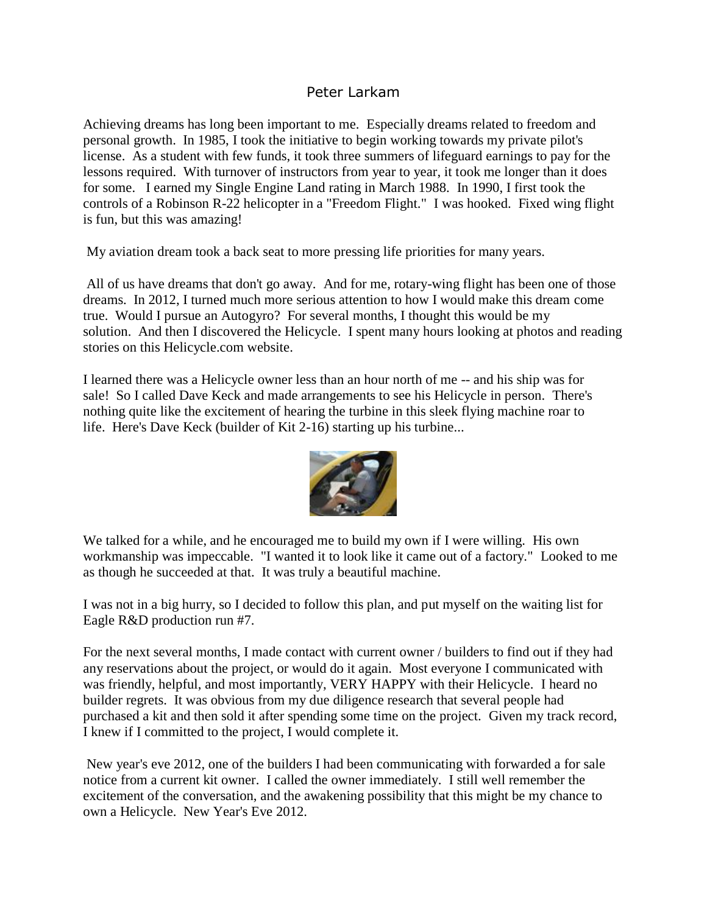#### Peter Larkam

Achieving dreams has long been important to me. Especially dreams related to freedom and personal growth. In 1985, I took the initiative to begin working towards my private pilot's license. As a student with few funds, it took three summers of lifeguard earnings to pay for the lessons required. With turnover of instructors from year to year, it took me longer than it does for some. I earned my Single Engine Land rating in March 1988. In 1990, I first took the controls of a Robinson R-22 helicopter in a "Freedom Flight." I was hooked. Fixed wing flight is fun, but this was amazing!

My aviation dream took a back seat to more pressing life priorities for many years.

All of us have dreams that don't go away. And for me, rotary-wing flight has been one of those dreams. In 2012, I turned much more serious attention to how I would make this dream come true. Would I pursue an Autogyro? For several months, I thought this would be my solution. And then I discovered the Helicycle. I spent many hours looking at photos and reading stories on this Helicycle.com website.

I learned there was a Helicycle owner less than an hour north of me -- and his ship was for sale! So I called Dave Keck and made arrangements to see his Helicycle in person. There's nothing quite like the excitement of hearing the turbine in this sleek flying machine roar to life. Here's Dave Keck (builder of Kit 2-16) starting up his turbine...



We talked for a while, and he encouraged me to build my own if I were willing. His own workmanship was impeccable. "I wanted it to look like it came out of a factory." Looked to me as though he succeeded at that. It was truly a beautiful machine.

I was not in a big hurry, so I decided to follow this plan, and put myself on the waiting list for Eagle R&D production run #7.

For the next several months, I made contact with current owner / builders to find out if they had any reservations about the project, or would do it again. Most everyone I communicated with was friendly, helpful, and most importantly, VERY HAPPY with their Helicycle. I heard no builder regrets. It was obvious from my due diligence research that several people had purchased a kit and then sold it after spending some time on the project. Given my track record, I knew if I committed to the project, I would complete it.

New year's eve 2012, one of the builders I had been communicating with forwarded a for sale notice from a current kit owner. I called the owner immediately. I still well remember the excitement of the conversation, and the awakening possibility that this might be my chance to own a Helicycle. New Year's Eve 2012.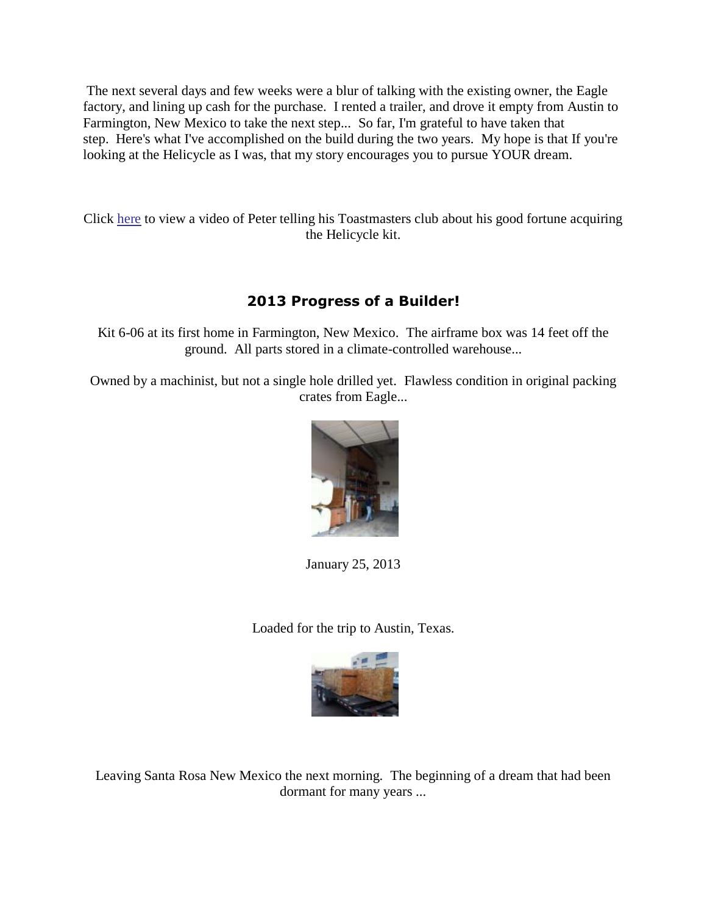The next several days and few weeks were a blur of talking with the existing owner, the Eagle factory, and lining up cash for the purchase. I rented a trailer, and drove it empty from Austin to Farmington, New Mexico to take the next step... So far, I'm grateful to have taken that step. Here's what I've accomplished on the build during the two years. My hope is that If you're looking at the Helicycle as I was, that my story encourages you to pursue YOUR dream.

Click [here](file://///192.168.1.116/Backups/Backups/HelicycleNEW%20From%20C%20Active%20there-Copying%20into%20here-BACKUP-Master/Builders/PeterLarkam/PeterLarkam.mp4) to view a video of Peter telling his Toastmasters club about his good fortune acquiring the Helicycle kit.

# **2013 Progress of a Builder!**

Kit 6-06 at its first home in Farmington, New Mexico. The airframe box was 14 feet off the ground. All parts stored in a climate-controlled warehouse...

Owned by a machinist, but not a single hole drilled yet. Flawless condition in original packing crates from Eagle...



January 25, 2013

Loaded for the trip to Austin, Texas.



Leaving Santa Rosa New Mexico the next morning. The beginning of a dream that had been dormant for many years ...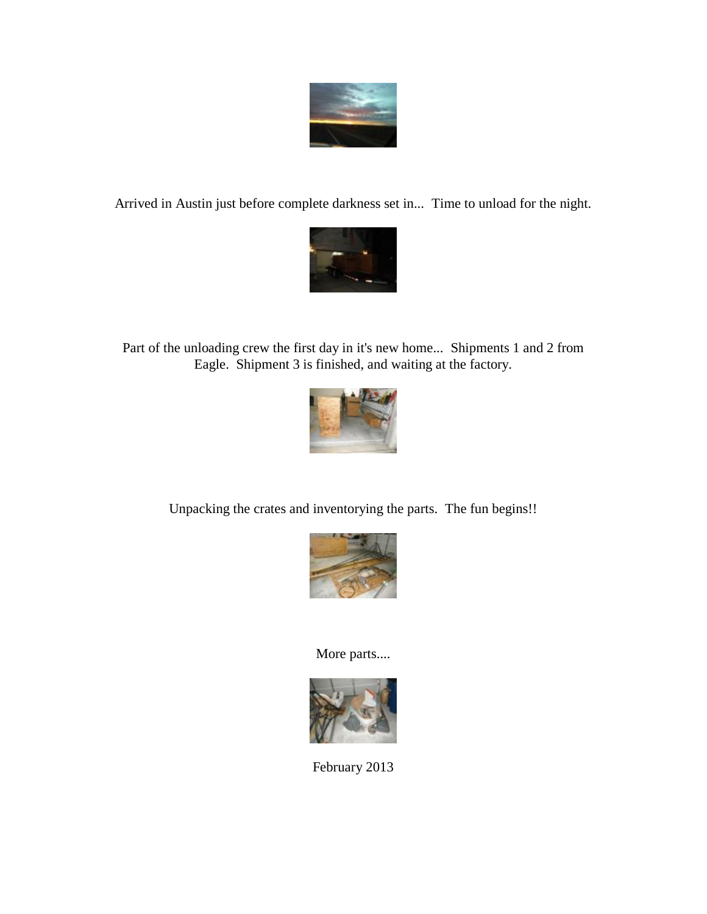

Arrived in Austin just before complete darkness set in... Time to unload for the night.



Part of the unloading crew the first day in it's new home... Shipments 1 and 2 from Eagle. Shipment 3 is finished, and waiting at the factory.



Unpacking the crates and inventorying the parts. The fun begins!!



More parts....



February 2013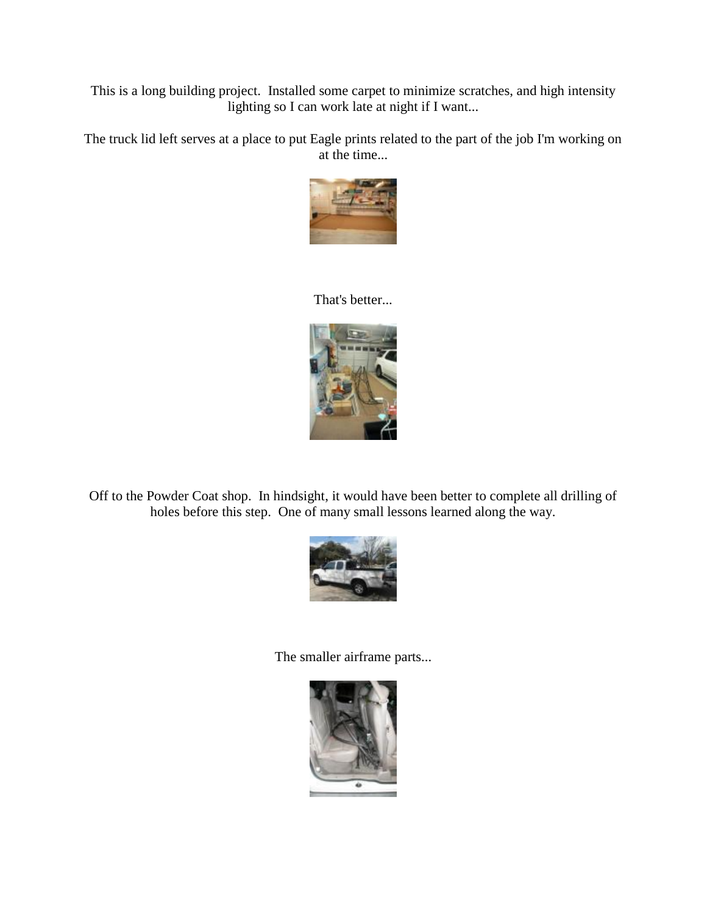This is a long building project. Installed some carpet to minimize scratches, and high intensity lighting so I can work late at night if I want...

The truck lid left serves at a place to put Eagle prints related to the part of the job I'm working on at the time...



#### That's better...



Off to the Powder Coat shop. In hindsight, it would have been better to complete all drilling of holes before this step. One of many small lessons learned along the way.



The smaller airframe parts...

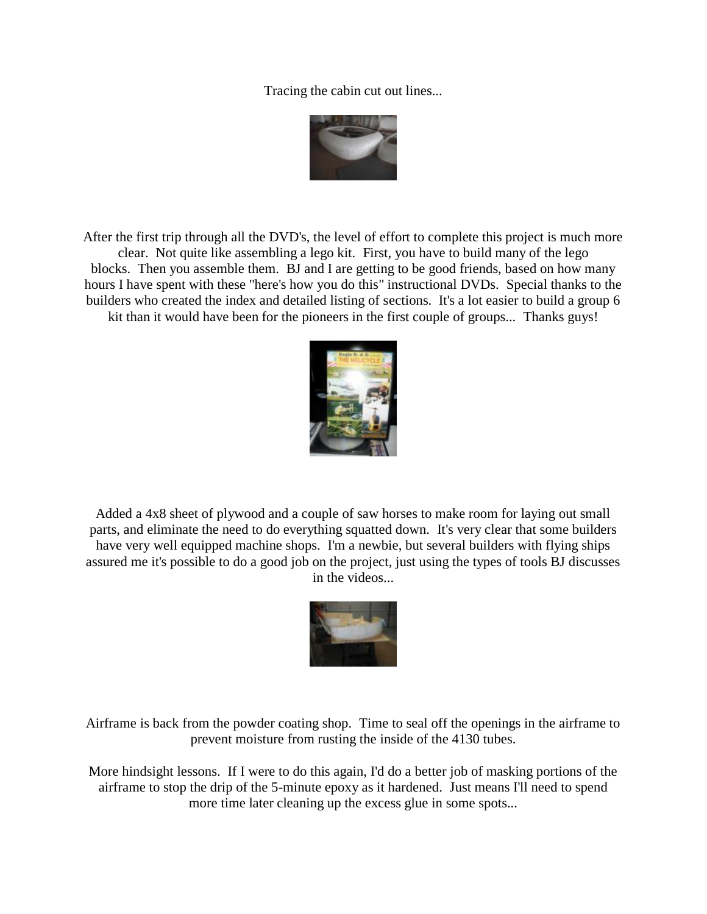Tracing the cabin cut out lines...



After the first trip through all the DVD's, the level of effort to complete this project is much more clear. Not quite like assembling a lego kit. First, you have to build many of the lego blocks. Then you assemble them. BJ and I are getting to be good friends, based on how many hours I have spent with these "here's how you do this" instructional DVDs. Special thanks to the builders who created the index and detailed listing of sections. It's a lot easier to build a group 6 kit than it would have been for the pioneers in the first couple of groups... Thanks guys!



Added a 4x8 sheet of plywood and a couple of saw horses to make room for laying out small parts, and eliminate the need to do everything squatted down. It's very clear that some builders have very well equipped machine shops. I'm a newbie, but several builders with flying ships assured me it's possible to do a good job on the project, just using the types of tools BJ discusses in the videos...



Airframe is back from the powder coating shop. Time to seal off the openings in the airframe to prevent moisture from rusting the inside of the 4130 tubes.

More hindsight lessons. If I were to do this again, I'd do a better job of masking portions of the airframe to stop the drip of the 5-minute epoxy as it hardened. Just means I'll need to spend more time later cleaning up the excess glue in some spots...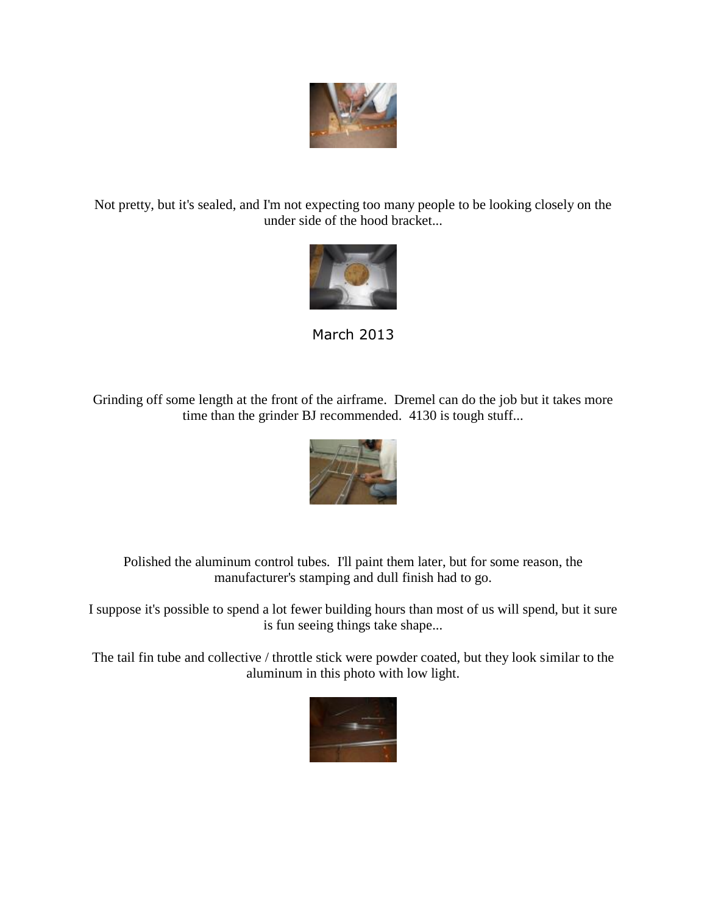

Not pretty, but it's sealed, and I'm not expecting too many people to be looking closely on the under side of the hood bracket...



March 2013

Grinding off some length at the front of the airframe. Dremel can do the job but it takes more time than the grinder BJ recommended. 4130 is tough stuff...



Polished the aluminum control tubes. I'll paint them later, but for some reason, the manufacturer's stamping and dull finish had to go.

I suppose it's possible to spend a lot fewer building hours than most of us will spend, but it sure is fun seeing things take shape...

The tail fin tube and collective / throttle stick were powder coated, but they look similar to the aluminum in this photo with low light.

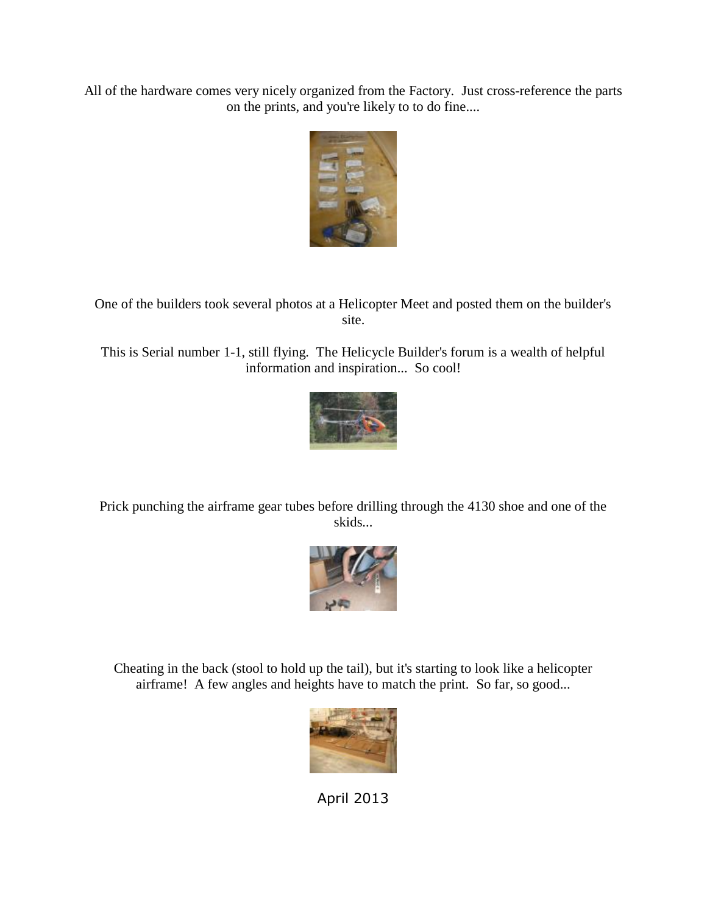All of the hardware comes very nicely organized from the Factory. Just cross-reference the parts on the prints, and you're likely to to do fine....



One of the builders took several photos at a Helicopter Meet and posted them on the builder's site.

This is Serial number 1-1, still flying. The Helicycle Builder's forum is a wealth of helpful information and inspiration... So cool!



Prick punching the airframe gear tubes before drilling through the 4130 shoe and one of the skids...



Cheating in the back (stool to hold up the tail), but it's starting to look like a helicopter airframe! A few angles and heights have to match the print. So far, so good...



April 2013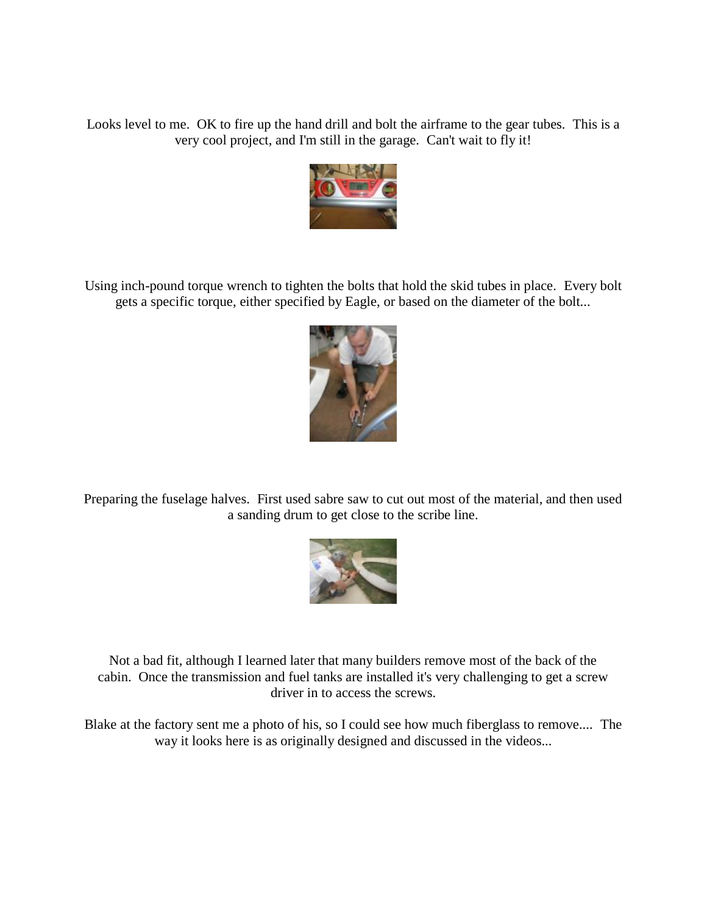Looks level to me. OK to fire up the hand drill and bolt the airframe to the gear tubes. This is a very cool project, and I'm still in the garage. Can't wait to fly it!



Using inch-pound torque wrench to tighten the bolts that hold the skid tubes in place. Every bolt gets a specific torque, either specified by Eagle, or based on the diameter of the bolt...



Preparing the fuselage halves. First used sabre saw to cut out most of the material, and then used a sanding drum to get close to the scribe line.



Not a bad fit, although I learned later that many builders remove most of the back of the cabin. Once the transmission and fuel tanks are installed it's very challenging to get a screw driver in to access the screws.

Blake at the factory sent me a photo of his, so I could see how much fiberglass to remove.... The way it looks here is as originally designed and discussed in the videos...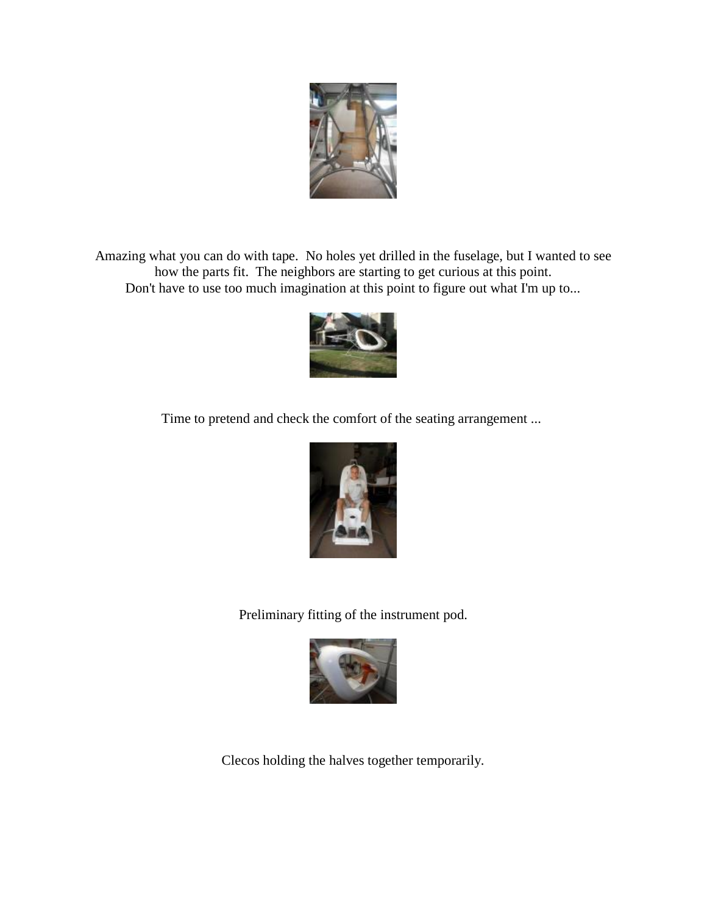

Amazing what you can do with tape. No holes yet drilled in the fuselage, but I wanted to see how the parts fit. The neighbors are starting to get curious at this point. Don't have to use too much imagination at this point to figure out what I'm up to...



Time to pretend and check the comfort of the seating arrangement ...



Preliminary fitting of the instrument pod.



Clecos holding the halves together temporarily.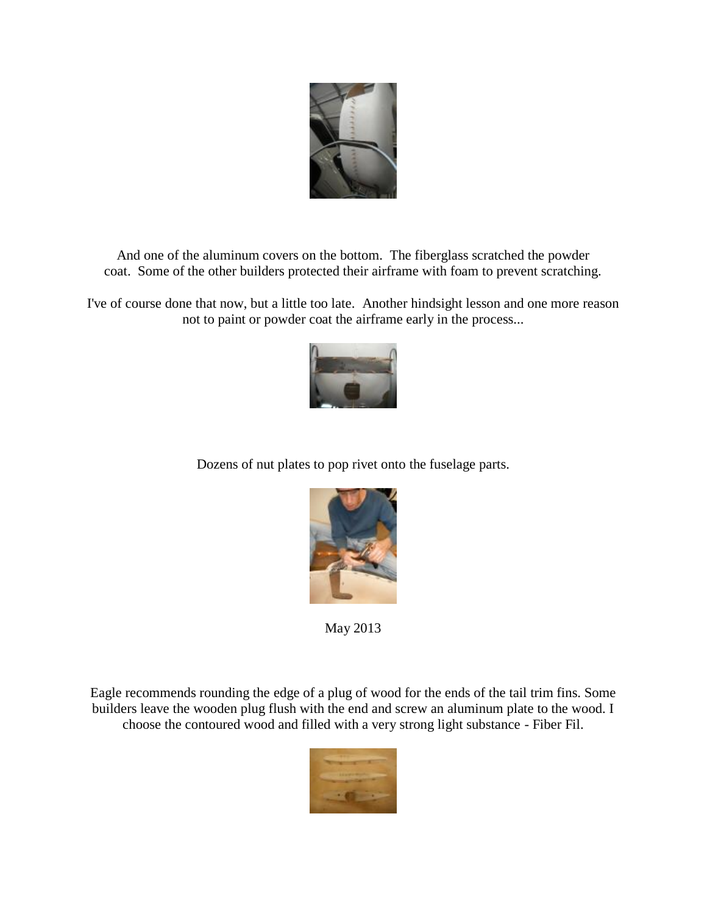

And one of the aluminum covers on the bottom. The fiberglass scratched the powder coat. Some of the other builders protected their airframe with foam to prevent scratching.

I've of course done that now, but a little too late. Another hindsight lesson and one more reason not to paint or powder coat the airframe early in the process...



Dozens of nut plates to pop rivet onto the fuselage parts.



May 2013

Eagle recommends rounding the edge of a plug of wood for the ends of the tail trim fins. Some builders leave the wooden plug flush with the end and screw an aluminum plate to the wood. I choose the contoured wood and filled with a very strong light substance - Fiber Fil.

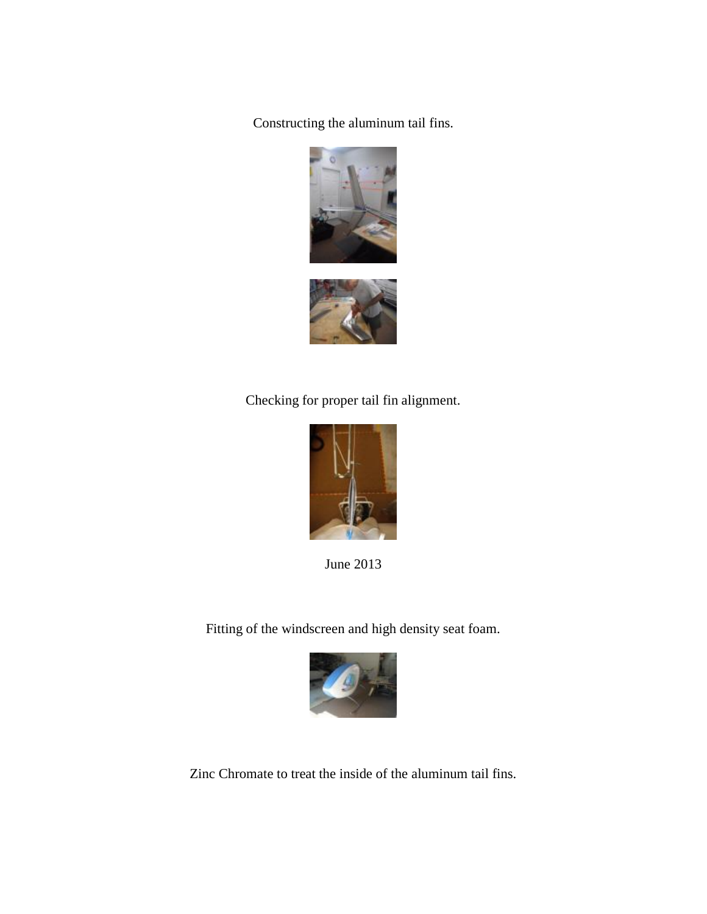Constructing the aluminum tail fins.





Checking for proper tail fin alignment.



June 2013

Fitting of the windscreen and high density seat foam.



Zinc Chromate to treat the inside of the aluminum tail fins.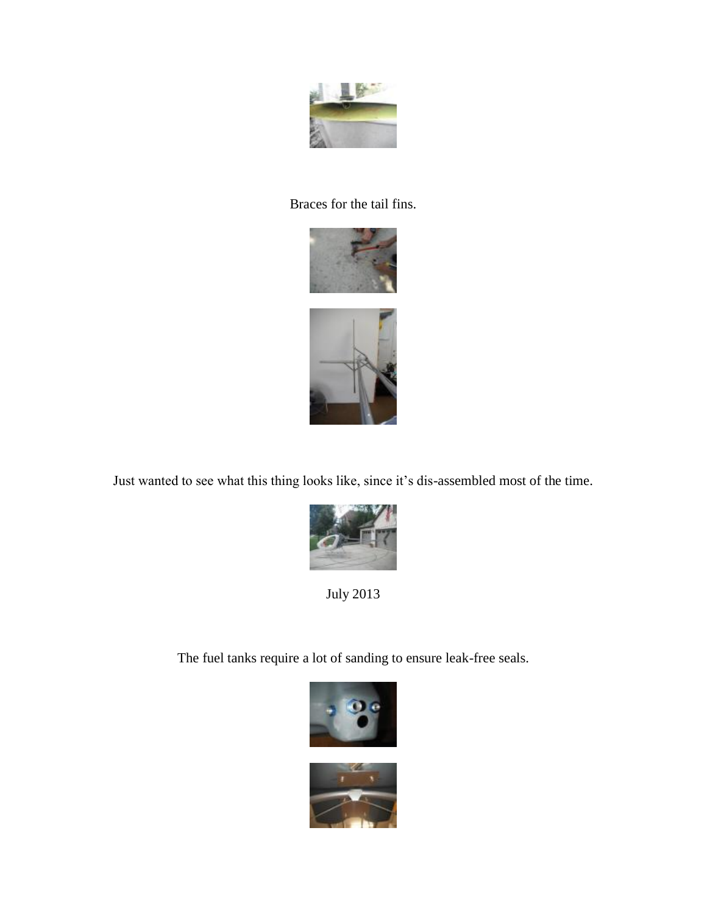

#### Braces for the tail fins.



Just wanted to see what this thing looks like, since it's dis-assembled most of the time.



July 2013

The fuel tanks require a lot of sanding to ensure leak-free seals.

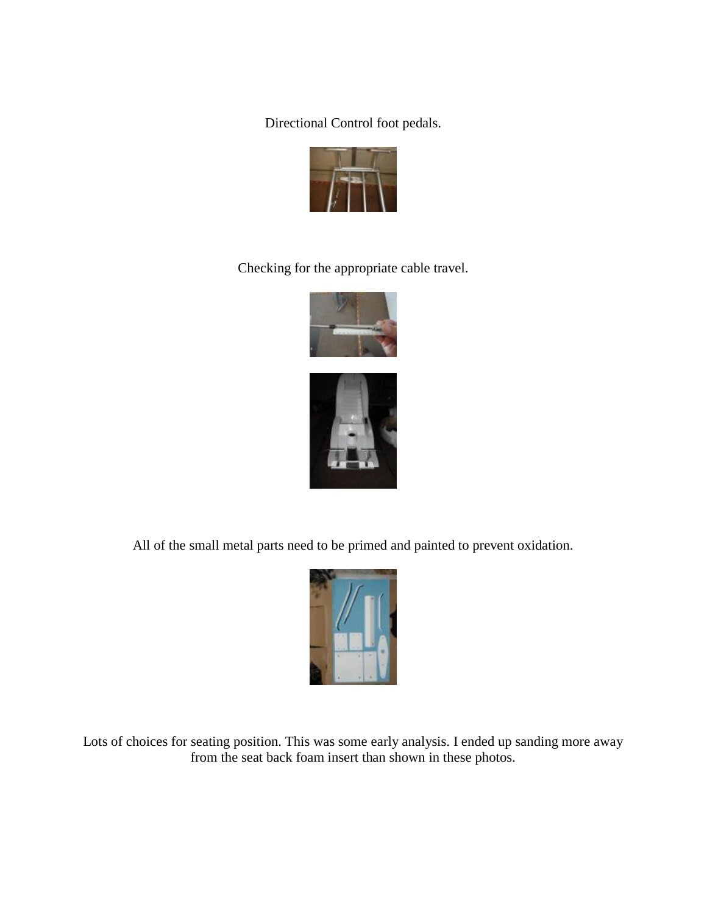Directional Control foot pedals.



Checking for the appropriate cable travel.





All of the small metal parts need to be primed and painted to prevent oxidation.



Lots of choices for seating position. This was some early analysis. I ended up sanding more away from the seat back foam insert than shown in these photos.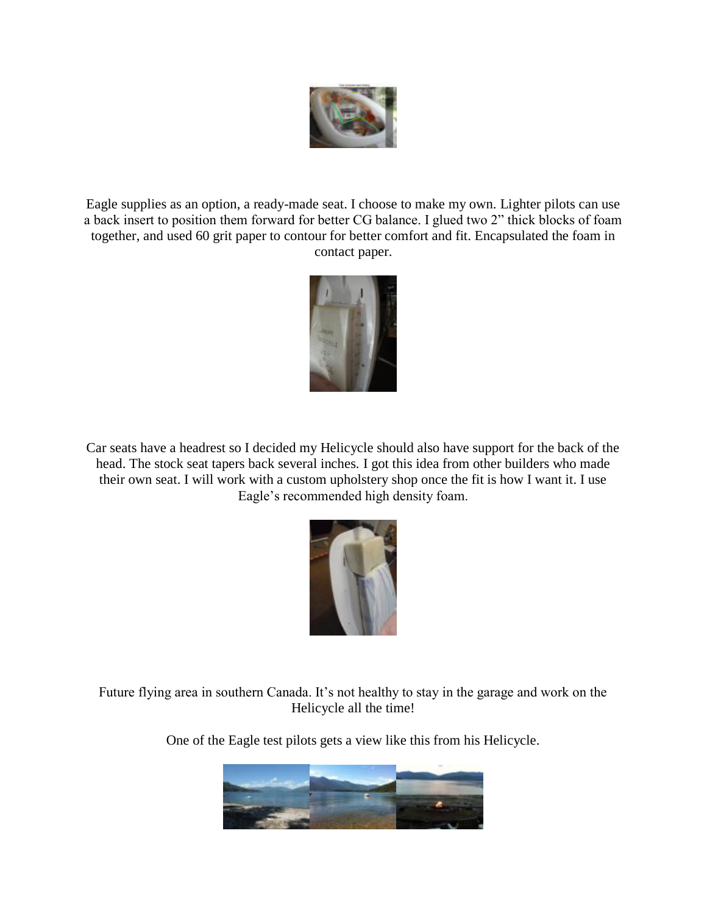

Eagle supplies as an option, a ready-made seat. I choose to make my own. Lighter pilots can use a back insert to position them forward for better CG balance. I glued two 2" thick blocks of foam together, and used 60 grit paper to contour for better comfort and fit. Encapsulated the foam in contact paper.



Car seats have a headrest so I decided my Helicycle should also have support for the back of the head. The stock seat tapers back several inches. I got this idea from other builders who made their own seat. I will work with a custom upholstery shop once the fit is how I want it. I use Eagle's recommended high density foam.



Future flying area in southern Canada. It's not healthy to stay in the garage and work on the Helicycle all the time!

One of the Eagle test pilots gets a view like this from his Helicycle.

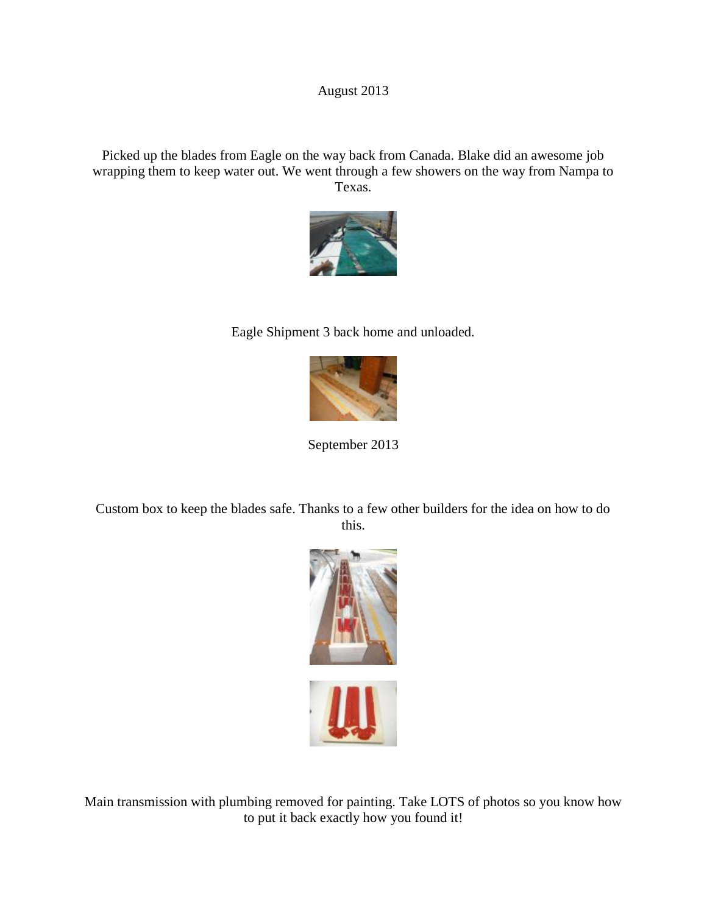#### August 2013

Picked up the blades from Eagle on the way back from Canada. Blake did an awesome job wrapping them to keep water out. We went through a few showers on the way from Nampa to Texas.



#### Eagle Shipment 3 back home and unloaded.



September 2013

Custom box to keep the blades safe. Thanks to a few other builders for the idea on how to do this.



Main transmission with plumbing removed for painting. Take LOTS of photos so you know how to put it back exactly how you found it!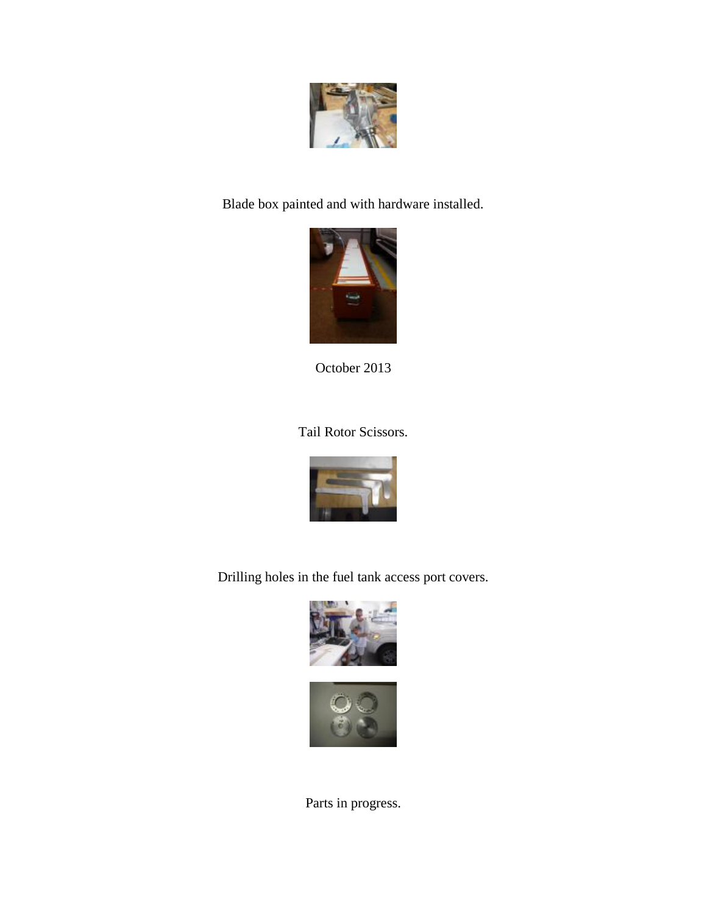

Blade box painted and with hardware installed.



October 2013

Tail Rotor Scissors.



Drilling holes in the fuel tank access port covers.





Parts in progress.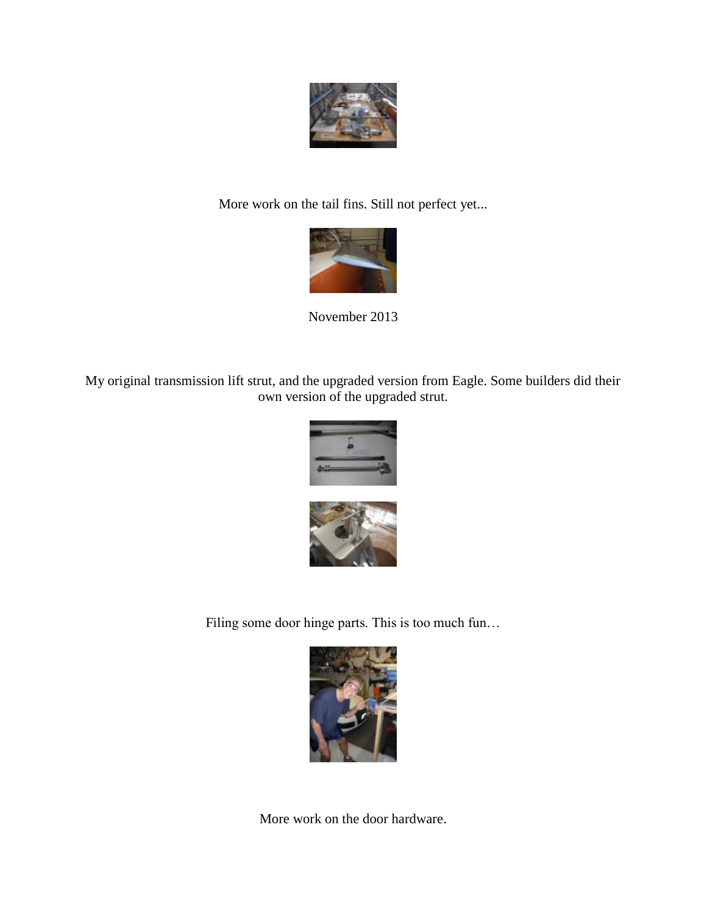

More work on the tail fins. Still not perfect yet...



November 2013

My original transmission lift strut, and the upgraded version from Eagle. Some builders did their own version of the upgraded strut.



Filing some door hinge parts. This is too much fun…



More work on the door hardware.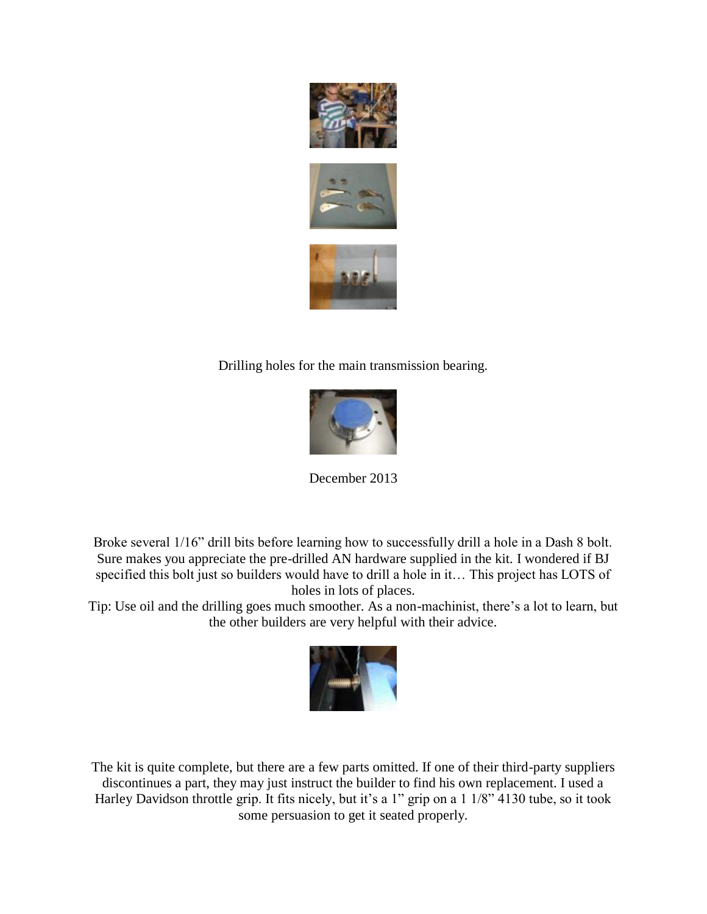





Drilling holes for the main transmission bearing.



December 2013

Broke several 1/16" drill bits before learning how to successfully drill a hole in a Dash 8 bolt. Sure makes you appreciate the pre-drilled AN hardware supplied in the kit. I wondered if BJ specified this bolt just so builders would have to drill a hole in it… This project has LOTS of holes in lots of places.

Tip: Use oil and the drilling goes much smoother. As a non-machinist, there's a lot to learn, but the other builders are very helpful with their advice.



The kit is quite complete, but there are a few parts omitted. If one of their third-party suppliers discontinues a part, they may just instruct the builder to find his own replacement. I used a Harley Davidson throttle grip. It fits nicely, but it's a 1" grip on a 1 1/8" 4130 tube, so it took some persuasion to get it seated properly.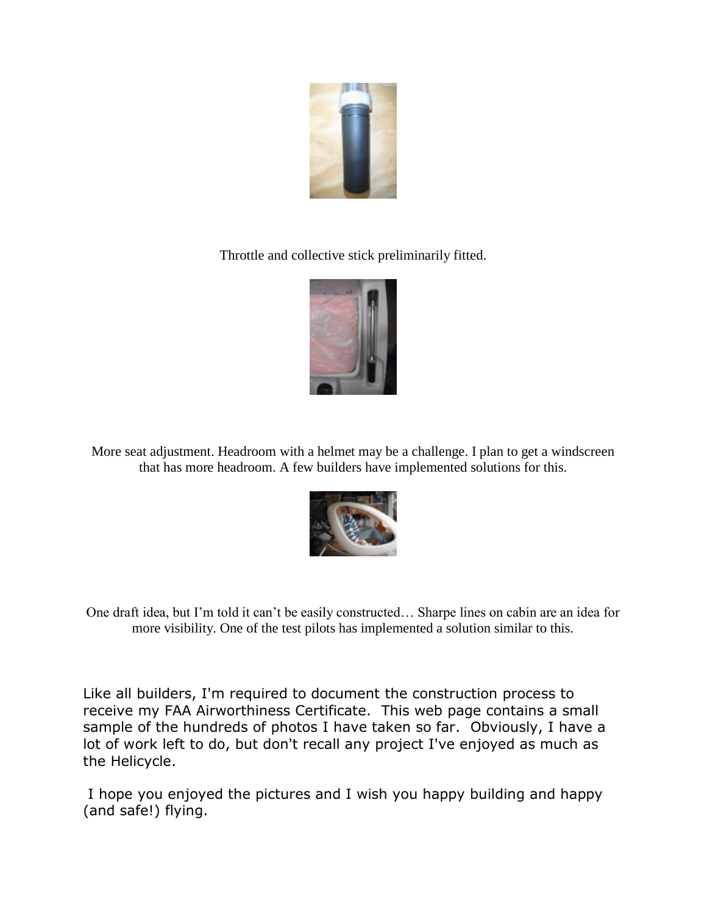

Throttle and collective stick preliminarily fitted.



More seat adjustment. Headroom with a helmet may be a challenge. I plan to get a windscreen that has more headroom. A few builders have implemented solutions for this.



One draft idea, but I'm told it can't be easily constructed… Sharpe lines on cabin are an idea for more visibility. One of the test pilots has implemented a solution similar to this.

Like all builders, I'm required to document the construction process to receive my FAA Airworthiness Certificate. This web page contains a small sample of the hundreds of photos I have taken so far. Obviously, I have a lot of work left to do, but don't recall any project I've enjoyed as much as the Helicycle.

I hope you enjoyed the pictures and I wish you happy building and happy (and safe!) flying.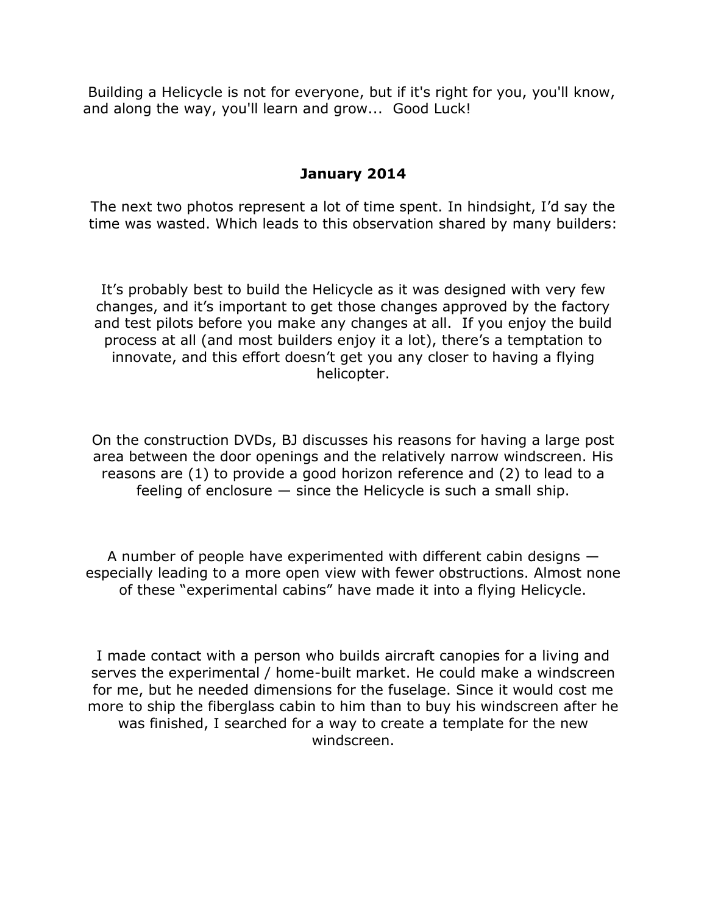Building a Helicycle is not for everyone, but if it's right for you, you'll know, and along the way, you'll learn and grow... Good Luck!

## **January 2014**

The next two photos represent a lot of time spent. In hindsight, I'd say the time was wasted. Which leads to this observation shared by many builders:

It's probably best to build the Helicycle as it was designed with very few changes, and it's important to get those changes approved by the factory and test pilots before you make any changes at all. If you enjoy the build process at all (and most builders enjoy it a lot), there's a temptation to innovate, and this effort doesn't get you any closer to having a flying helicopter.

On the construction DVDs, BJ discusses his reasons for having a large post area between the door openings and the relatively narrow windscreen. His reasons are (1) to provide a good horizon reference and (2) to lead to a feeling of enclosure  $-$  since the Helicycle is such a small ship.

A number of people have experimented with different cabin designs especially leading to a more open view with fewer obstructions. Almost none of these "experimental cabins" have made it into a flying Helicycle.

I made contact with a person who builds aircraft canopies for a living and serves the experimental / home-built market. He could make a windscreen for me, but he needed dimensions for the fuselage. Since it would cost me more to ship the fiberglass cabin to him than to buy his windscreen after he was finished, I searched for a way to create a template for the new windscreen.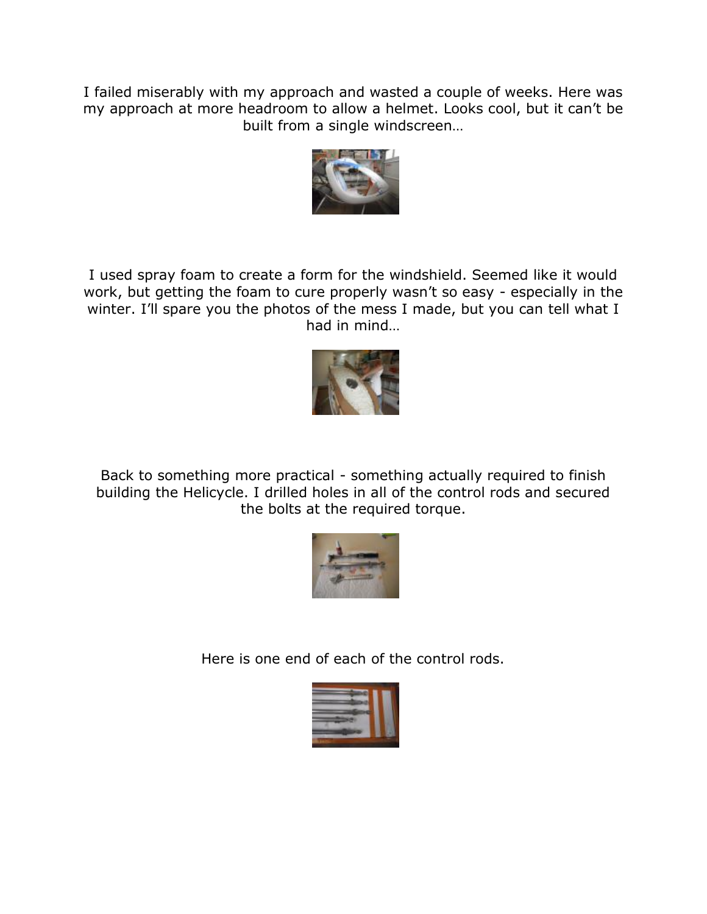I failed miserably with my approach and wasted a couple of weeks. Here was my approach at more headroom to allow a helmet. Looks cool, but it can't be built from a single windscreen…



I used spray foam to create a form for the windshield. Seemed like it would work, but getting the foam to cure properly wasn't so easy - especially in the winter. I'll spare you the photos of the mess I made, but you can tell what I had in mind…



Back to something more practical - something actually required to finish building the Helicycle. I drilled holes in all of the control rods and secured the bolts at the required torque.



Here is one end of each of the control rods.

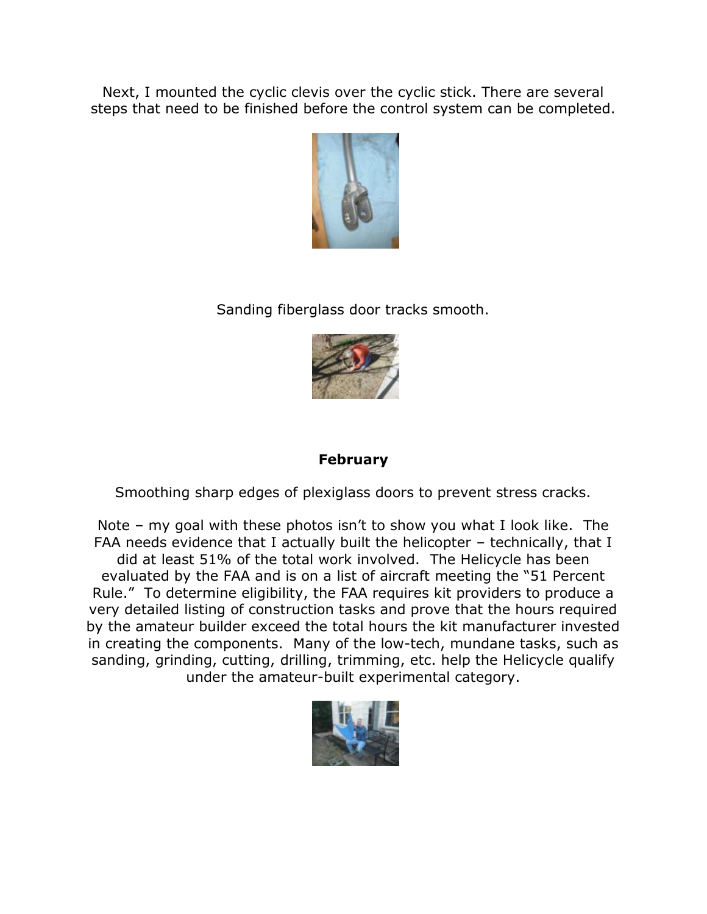Next, I mounted the cyclic clevis over the cyclic stick. There are several steps that need to be finished before the control system can be completed.



Sanding fiberglass door tracks smooth.



# **February**

Smoothing sharp edges of plexiglass doors to prevent stress cracks.

Note – my goal with these photos isn't to show you what I look like. The FAA needs evidence that I actually built the helicopter – technically, that I did at least 51% of the total work involved. The Helicycle has been evaluated by the FAA and is on a list of aircraft meeting the "51 Percent Rule." To determine eligibility, the FAA requires kit providers to produce a very detailed listing of construction tasks and prove that the hours required by the amateur builder exceed the total hours the kit manufacturer invested in creating the components. Many of the low-tech, mundane tasks, such as sanding, grinding, cutting, drilling, trimming, etc. help the Helicycle qualify under the amateur-built experimental category.

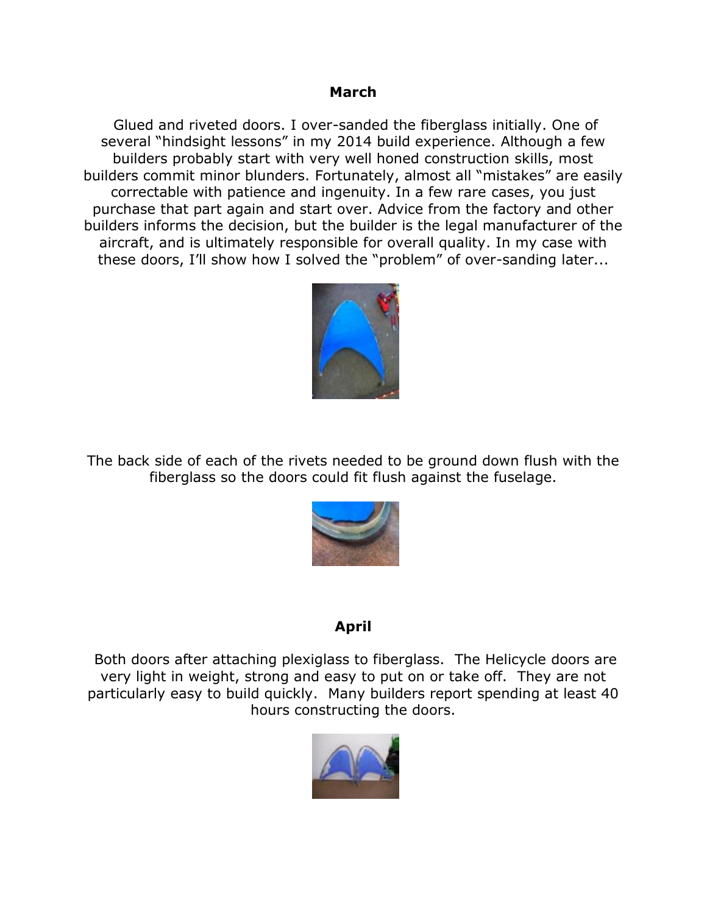#### **March**

Glued and riveted doors. I over-sanded the fiberglass initially. One of several "hindsight lessons" in my 2014 build experience. Although a few builders probably start with very well honed construction skills, most builders commit minor blunders. Fortunately, almost all "mistakes" are easily correctable with patience and ingenuity. In a few rare cases, you just purchase that part again and start over. Advice from the factory and other builders informs the decision, but the builder is the legal manufacturer of the aircraft, and is ultimately responsible for overall quality. In my case with these doors, I'll show how I solved the "problem" of over-sanding later...



The back side of each of the rivets needed to be ground down flush with the fiberglass so the doors could fit flush against the fuselage.



## **April**

Both doors after attaching plexiglass to fiberglass. The Helicycle doors are very light in weight, strong and easy to put on or take off. They are not particularly easy to build quickly. Many builders report spending at least 40 hours constructing the doors.

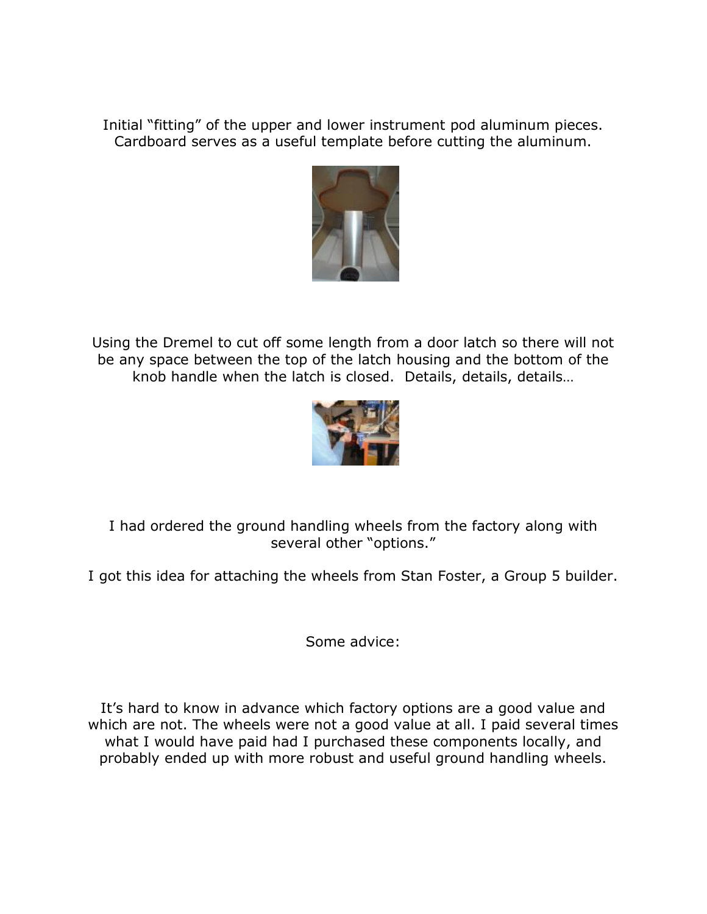Initial "fitting" of the upper and lower instrument pod aluminum pieces. Cardboard serves as a useful template before cutting the aluminum.



Using the Dremel to cut off some length from a door latch so there will not be any space between the top of the latch housing and the bottom of the knob handle when the latch is closed. Details, details, details…



I had ordered the ground handling wheels from the factory along with several other "options."

I got this idea for attaching the wheels from Stan Foster, a Group 5 builder.

Some advice:

It's hard to know in advance which factory options are a good value and which are not. The wheels were not a good value at all. I paid several times what I would have paid had I purchased these components locally, and probably ended up with more robust and useful ground handling wheels.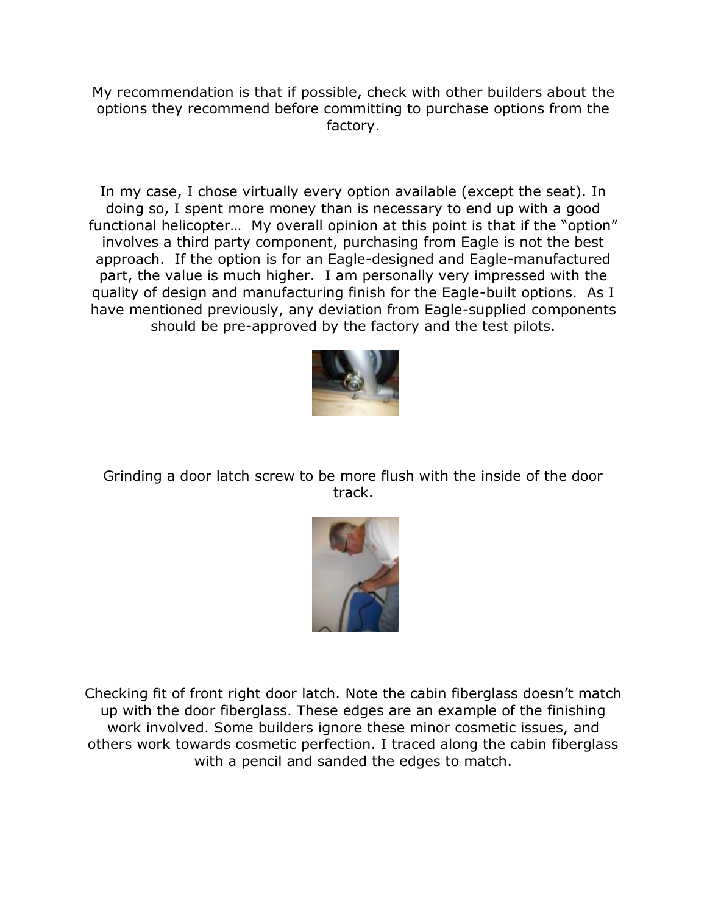My recommendation is that if possible, check with other builders about the options they recommend before committing to purchase options from the factory.

In my case, I chose virtually every option available (except the seat). In doing so, I spent more money than is necessary to end up with a good functional helicopter… My overall opinion at this point is that if the "option" involves a third party component, purchasing from Eagle is not the best approach. If the option is for an Eagle-designed and Eagle-manufactured part, the value is much higher. I am personally very impressed with the quality of design and manufacturing finish for the Eagle-built options. As I have mentioned previously, any deviation from Eagle-supplied components should be pre-approved by the factory and the test pilots.



Grinding a door latch screw to be more flush with the inside of the door track.



Checking fit of front right door latch. Note the cabin fiberglass doesn't match up with the door fiberglass. These edges are an example of the finishing work involved. Some builders ignore these minor cosmetic issues, and others work towards cosmetic perfection. I traced along the cabin fiberglass with a pencil and sanded the edges to match.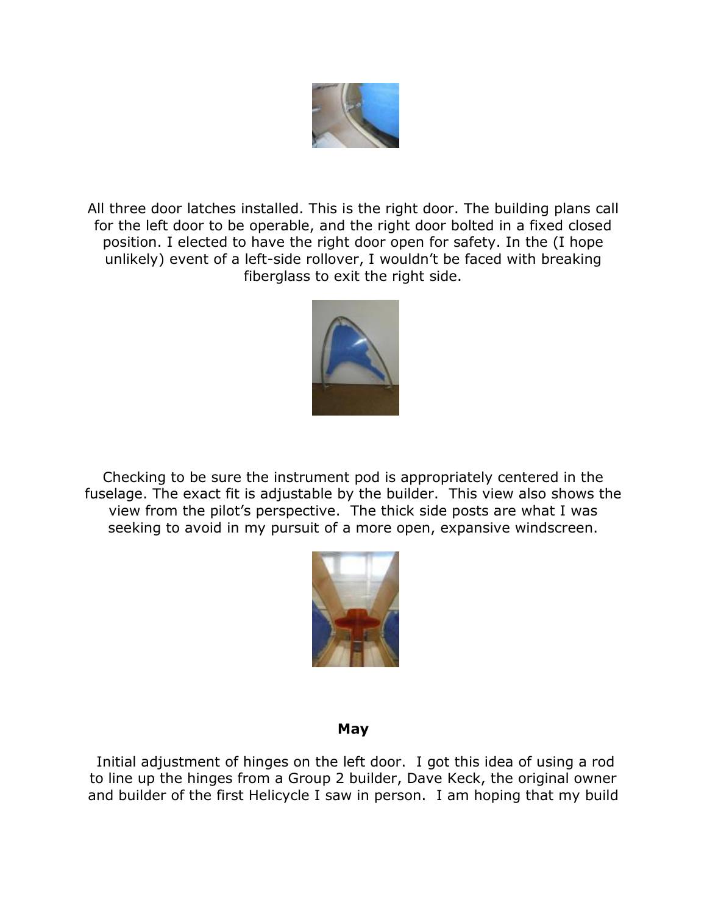

All three door latches installed. This is the right door. The building plans call for the left door to be operable, and the right door bolted in a fixed closed position. I elected to have the right door open for safety. In the (I hope unlikely) event of a left-side rollover, I wouldn't be faced with breaking fiberglass to exit the right side.



Checking to be sure the instrument pod is appropriately centered in the fuselage. The exact fit is adjustable by the builder. This view also shows the view from the pilot's perspective. The thick side posts are what I was seeking to avoid in my pursuit of a more open, expansive windscreen.



#### **May**

Initial adjustment of hinges on the left door. I got this idea of using a rod to line up the hinges from a Group 2 builder, Dave Keck, the original owner and builder of the first Helicycle I saw in person. I am hoping that my build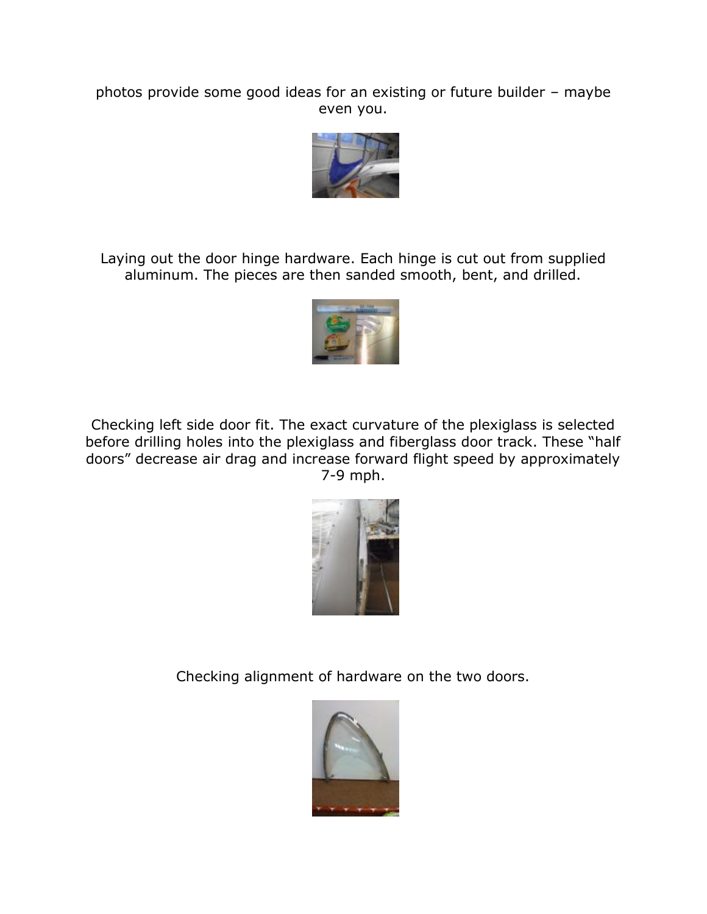photos provide some good ideas for an existing or future builder – maybe even you.



Laying out the door hinge hardware. Each hinge is cut out from supplied aluminum. The pieces are then sanded smooth, bent, and drilled.



Checking left side door fit. The exact curvature of the plexiglass is selected before drilling holes into the plexiglass and fiberglass door track. These "half doors" decrease air drag and increase forward flight speed by approximately 7-9 mph.



Checking alignment of hardware on the two doors.

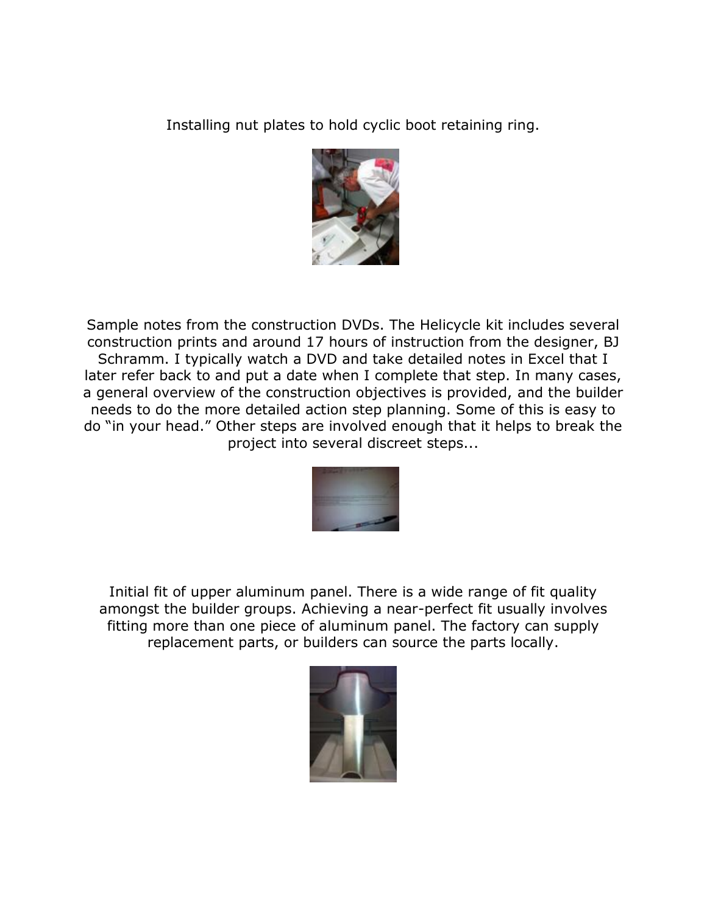Installing nut plates to hold cyclic boot retaining ring.



Sample notes from the construction DVDs. The Helicycle kit includes several construction prints and around 17 hours of instruction from the designer, BJ Schramm. I typically watch a DVD and take detailed notes in Excel that I later refer back to and put a date when I complete that step. In many cases, a general overview of the construction objectives is provided, and the builder needs to do the more detailed action step planning. Some of this is easy to do "in your head." Other steps are involved enough that it helps to break the project into several discreet steps...



Initial fit of upper aluminum panel. There is a wide range of fit quality amongst the builder groups. Achieving a near-perfect fit usually involves fitting more than one piece of aluminum panel. The factory can supply replacement parts, or builders can source the parts locally.

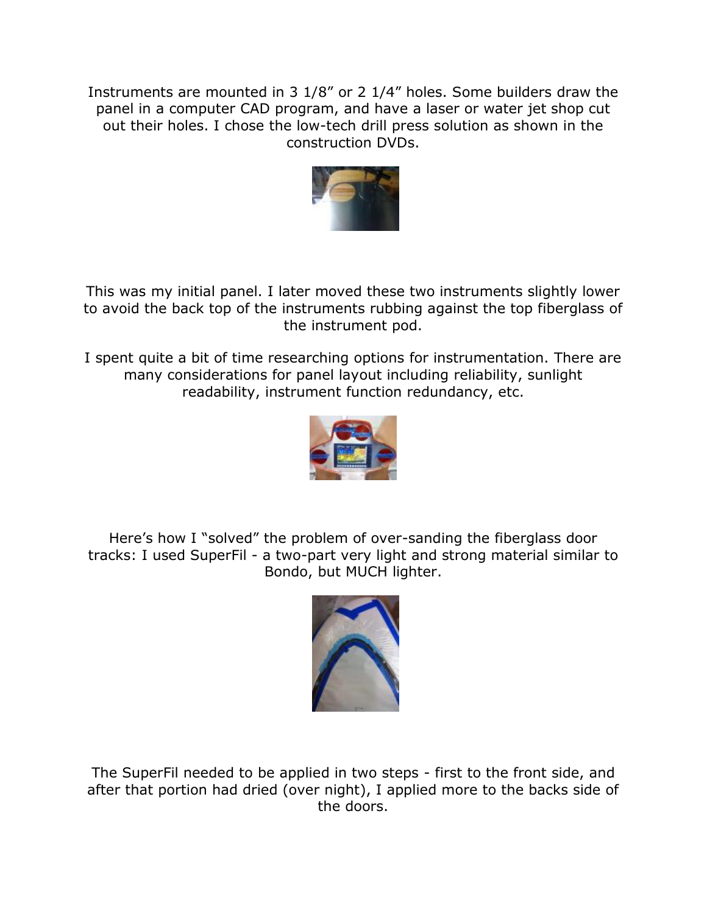Instruments are mounted in 3 1/8" or 2 1/4" holes. Some builders draw the panel in a computer CAD program, and have a laser or water jet shop cut out their holes. I chose the low-tech drill press solution as shown in the construction DVDs.



This was my initial panel. I later moved these two instruments slightly lower to avoid the back top of the instruments rubbing against the top fiberglass of the instrument pod.

I spent quite a bit of time researching options for instrumentation. There are many considerations for panel layout including reliability, sunlight readability, instrument function redundancy, etc.



Here's how I "solved" the problem of over-sanding the fiberglass door tracks: I used SuperFil - a two-part very light and strong material similar to Bondo, but MUCH lighter.



The SuperFil needed to be applied in two steps - first to the front side, and after that portion had dried (over night), I applied more to the backs side of the doors.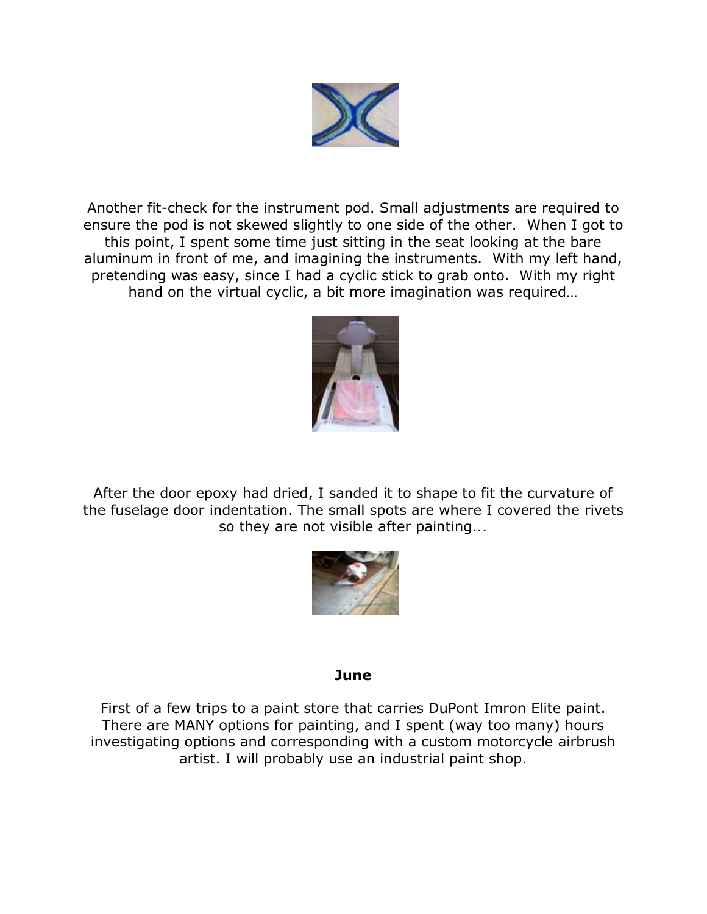

Another fit-check for the instrument pod. Small adjustments are required to ensure the pod is not skewed slightly to one side of the other. When I got to this point, I spent some time just sitting in the seat looking at the bare aluminum in front of me, and imagining the instruments. With my left hand, pretending was easy, since I had a cyclic stick to grab onto. With my right hand on the virtual cyclic, a bit more imagination was required…



After the door epoxy had dried, I sanded it to shape to fit the curvature of the fuselage door indentation. The small spots are where I covered the rivets so they are not visible after painting...



#### **June**

First of a few trips to a paint store that carries DuPont Imron Elite paint. There are MANY options for painting, and I spent (way too many) hours investigating options and corresponding with a custom motorcycle airbrush artist. I will probably use an industrial paint shop.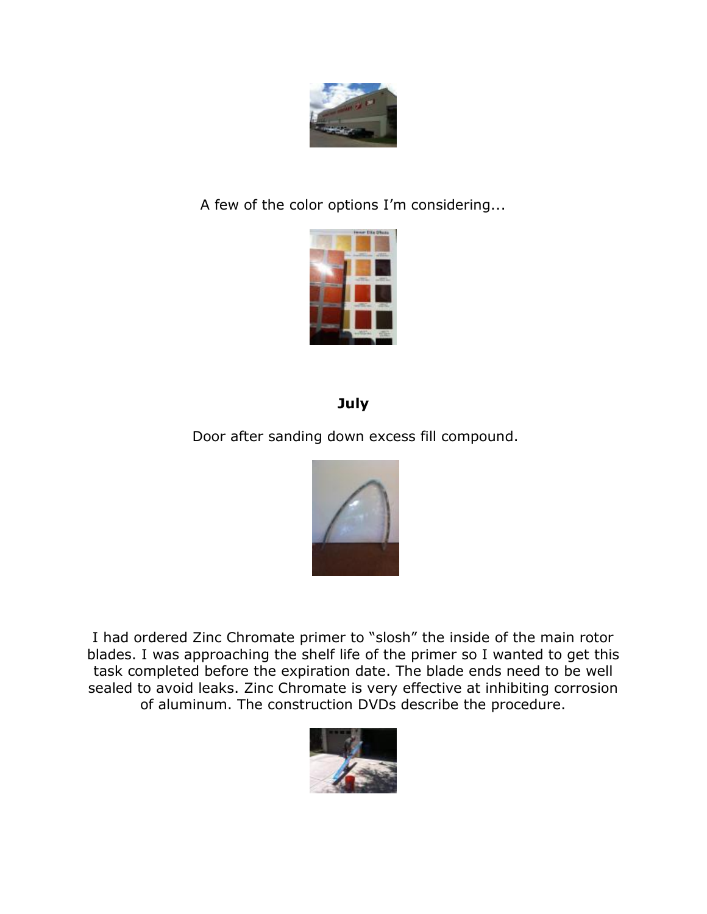

A few of the color options I'm considering...



# **July**

Door after sanding down excess fill compound.



I had ordered Zinc Chromate primer to "slosh" the inside of the main rotor blades. I was approaching the shelf life of the primer so I wanted to get this task completed before the expiration date. The blade ends need to be well sealed to avoid leaks. Zinc Chromate is very effective at inhibiting corrosion of aluminum. The construction DVDs describe the procedure.

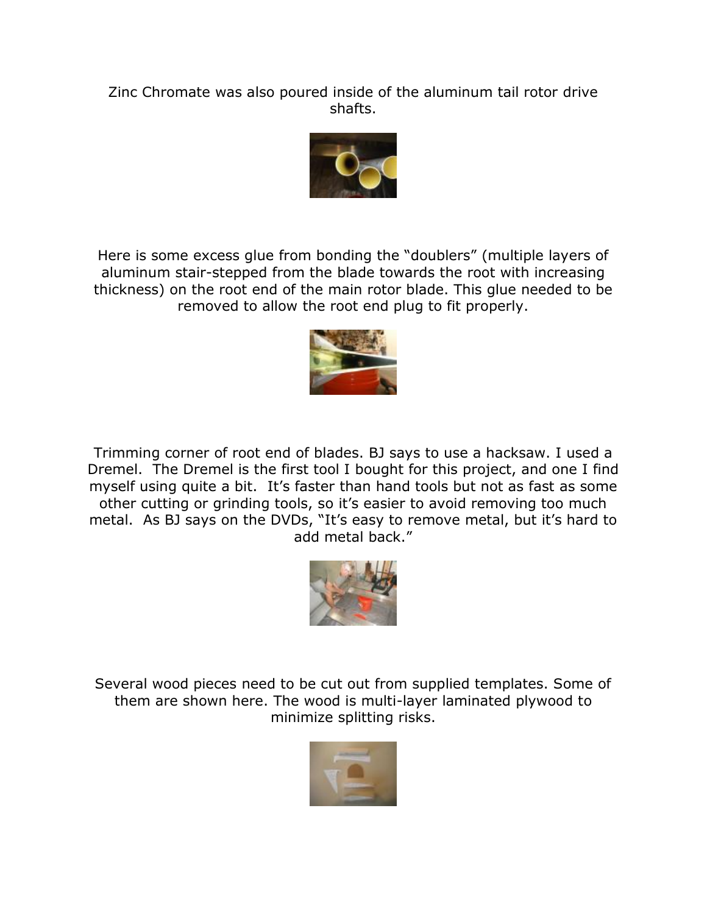Zinc Chromate was also poured inside of the aluminum tail rotor drive shafts.



Here is some excess glue from bonding the "doublers" (multiple layers of aluminum stair-stepped from the blade towards the root with increasing thickness) on the root end of the main rotor blade. This glue needed to be removed to allow the root end plug to fit properly.



Trimming corner of root end of blades. BJ says to use a hacksaw. I used a Dremel. The Dremel is the first tool I bought for this project, and one I find myself using quite a bit. It's faster than hand tools but not as fast as some other cutting or grinding tools, so it's easier to avoid removing too much metal. As BJ says on the DVDs, "It's easy to remove metal, but it's hard to add metal back."



Several wood pieces need to be cut out from supplied templates. Some of them are shown here. The wood is multi-layer laminated plywood to minimize splitting risks.

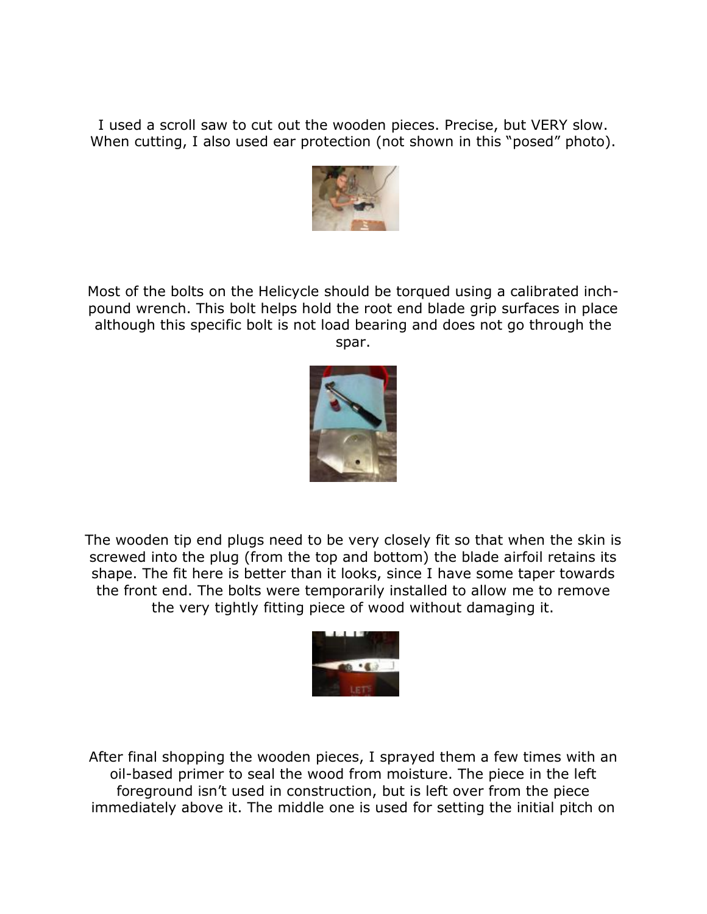I used a scroll saw to cut out the wooden pieces. Precise, but VERY slow. When cutting, I also used ear protection (not shown in this "posed" photo).



Most of the bolts on the Helicycle should be torqued using a calibrated inchpound wrench. This bolt helps hold the root end blade grip surfaces in place although this specific bolt is not load bearing and does not go through the spar.



The wooden tip end plugs need to be very closely fit so that when the skin is screwed into the plug (from the top and bottom) the blade airfoil retains its shape. The fit here is better than it looks, since I have some taper towards the front end. The bolts were temporarily installed to allow me to remove the very tightly fitting piece of wood without damaging it.



After final shopping the wooden pieces, I sprayed them a few times with an oil-based primer to seal the wood from moisture. The piece in the left foreground isn't used in construction, but is left over from the piece immediately above it. The middle one is used for setting the initial pitch on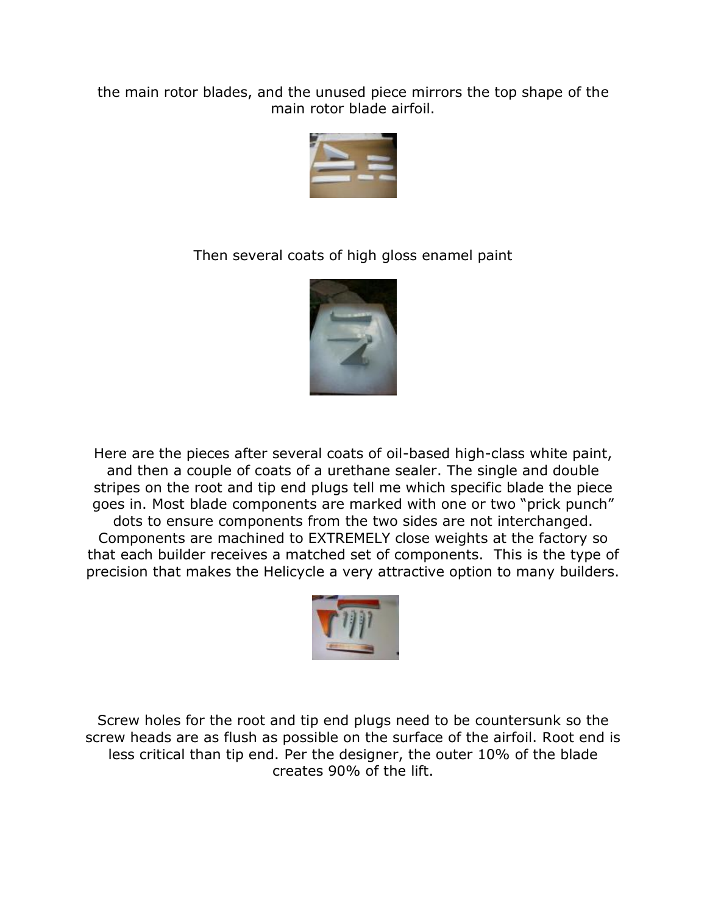the main rotor blades, and the unused piece mirrors the top shape of the main rotor blade airfoil.



Then several coats of high gloss enamel paint



Here are the pieces after several coats of oil-based high-class white paint, and then a couple of coats of a urethane sealer. The single and double stripes on the root and tip end plugs tell me which specific blade the piece goes in. Most blade components are marked with one or two "prick punch" dots to ensure components from the two sides are not interchanged. Components are machined to EXTREMELY close weights at the factory so that each builder receives a matched set of components. This is the type of precision that makes the Helicycle a very attractive option to many builders.



Screw holes for the root and tip end plugs need to be countersunk so the screw heads are as flush as possible on the surface of the airfoil. Root end is less critical than tip end. Per the designer, the outer 10% of the blade creates 90% of the lift.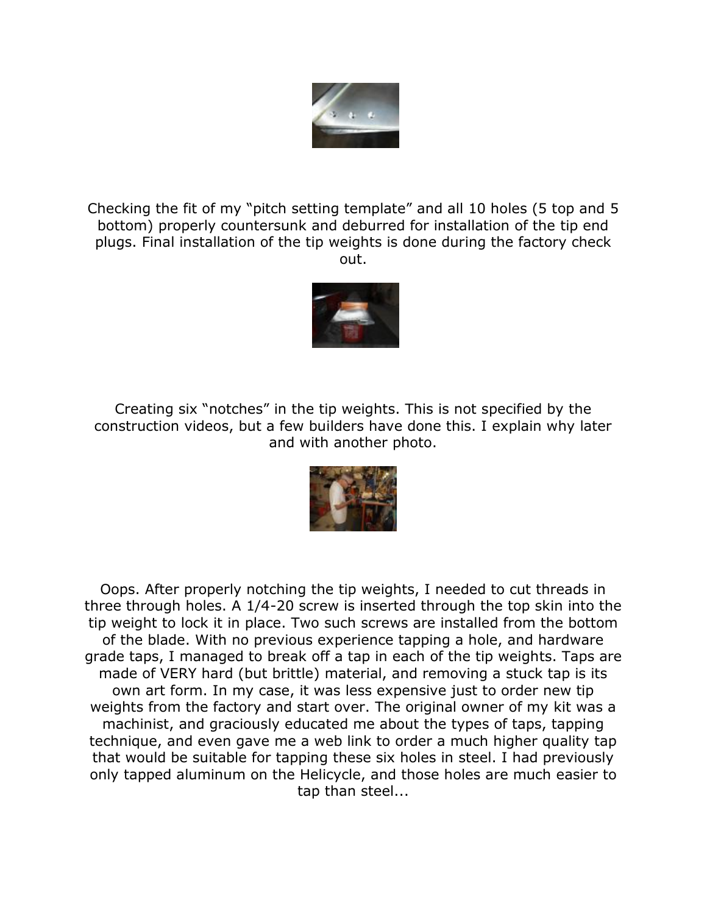

Checking the fit of my "pitch setting template" and all 10 holes (5 top and 5 bottom) properly countersunk and deburred for installation of the tip end plugs. Final installation of the tip weights is done during the factory check out.



Creating six "notches" in the tip weights. This is not specified by the construction videos, but a few builders have done this. I explain why later and with another photo.



Oops. After properly notching the tip weights, I needed to cut threads in three through holes. A 1/4-20 screw is inserted through the top skin into the tip weight to lock it in place. Two such screws are installed from the bottom of the blade. With no previous experience tapping a hole, and hardware grade taps, I managed to break off a tap in each of the tip weights. Taps are made of VERY hard (but brittle) material, and removing a stuck tap is its own art form. In my case, it was less expensive just to order new tip weights from the factory and start over. The original owner of my kit was a machinist, and graciously educated me about the types of taps, tapping technique, and even gave me a web link to order a much higher quality tap that would be suitable for tapping these six holes in steel. I had previously only tapped aluminum on the Helicycle, and those holes are much easier to tap than steel...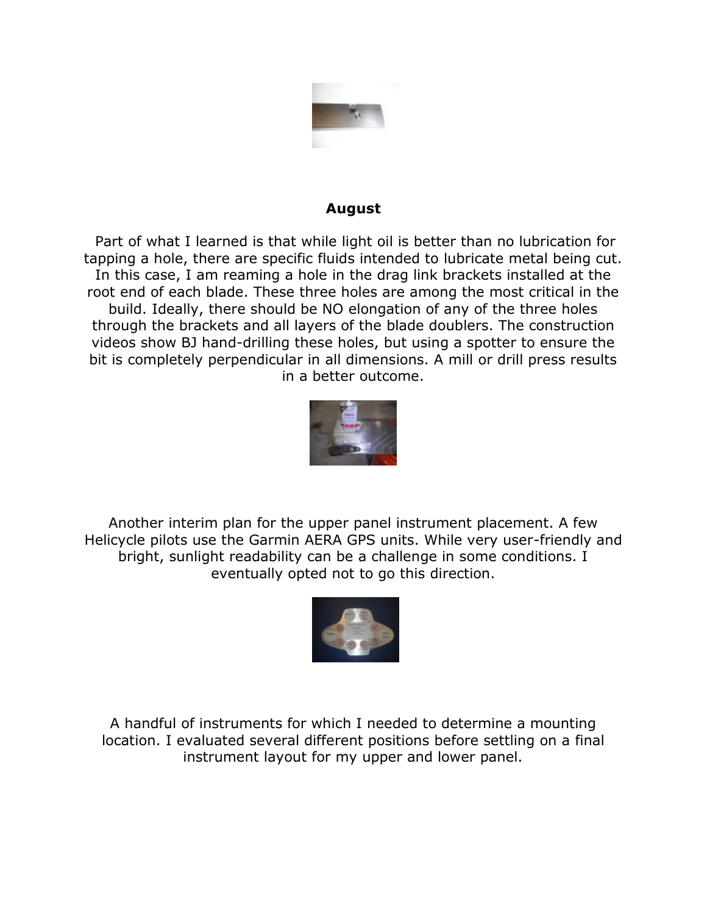

## **August**

Part of what I learned is that while light oil is better than no lubrication for tapping a hole, there are specific fluids intended to lubricate metal being cut. In this case, I am reaming a hole in the drag link brackets installed at the root end of each blade. These three holes are among the most critical in the build. Ideally, there should be NO elongation of any of the three holes through the brackets and all layers of the blade doublers. The construction videos show BJ hand-drilling these holes, but using a spotter to ensure the bit is completely perpendicular in all dimensions. A mill or drill press results in a better outcome.



Another interim plan for the upper panel instrument placement. A few Helicycle pilots use the Garmin AERA GPS units. While very user-friendly and bright, sunlight readability can be a challenge in some conditions. I eventually opted not to go this direction.



A handful of instruments for which I needed to determine a mounting location. I evaluated several different positions before settling on a final instrument layout for my upper and lower panel.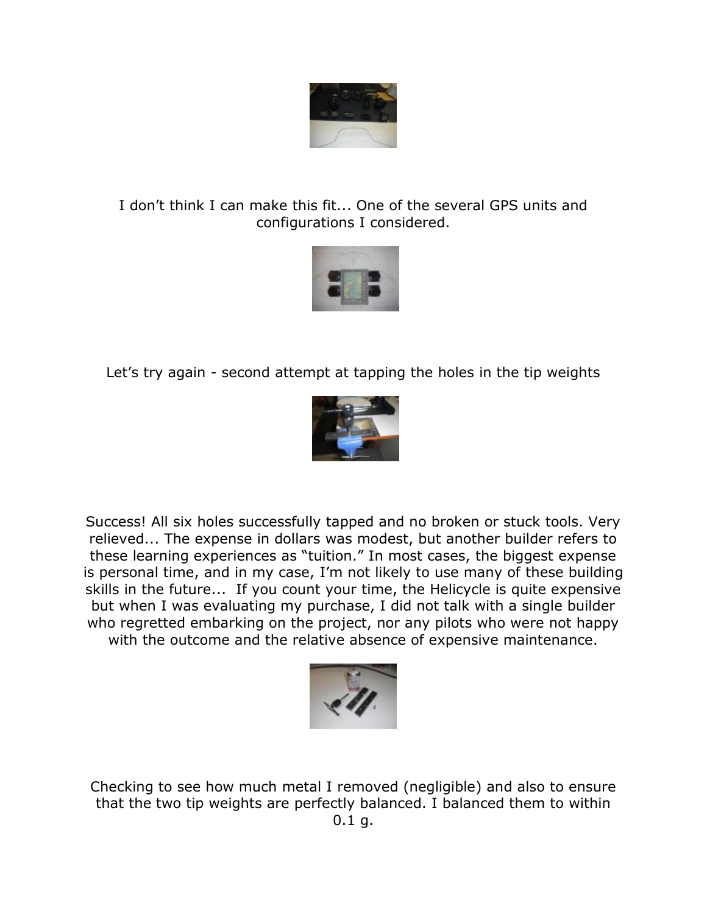

## I don't think I can make this fit... One of the several GPS units and configurations I considered.



Let's try again - second attempt at tapping the holes in the tip weights



Success! All six holes successfully tapped and no broken or stuck tools. Very relieved... The expense in dollars was modest, but another builder refers to these learning experiences as "tuition." In most cases, the biggest expense is personal time, and in my case, I'm not likely to use many of these building skills in the future... If you count your time, the Helicycle is quite expensive but when I was evaluating my purchase, I did not talk with a single builder who regretted embarking on the project, nor any pilots who were not happy with the outcome and the relative absence of expensive maintenance.



Checking to see how much metal I removed (negligible) and also to ensure that the two tip weights are perfectly balanced. I balanced them to within  $0.1$  g.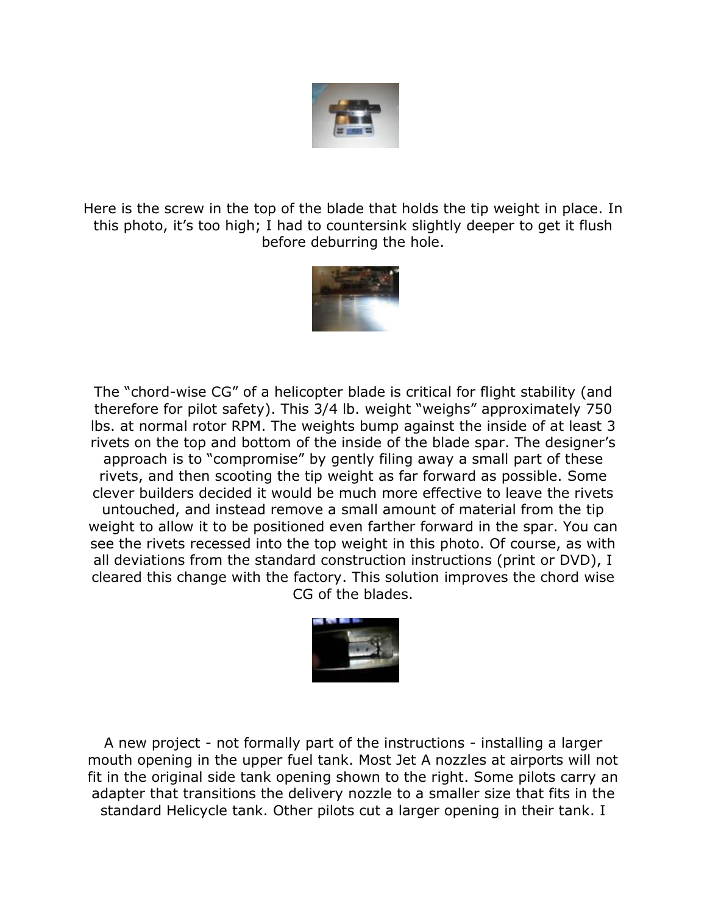

Here is the screw in the top of the blade that holds the tip weight in place. In this photo, it's too high; I had to countersink slightly deeper to get it flush before deburring the hole.



The "chord-wise CG" of a helicopter blade is critical for flight stability (and therefore for pilot safety). This 3/4 lb. weight "weighs" approximately 750 lbs. at normal rotor RPM. The weights bump against the inside of at least 3 rivets on the top and bottom of the inside of the blade spar. The designer's approach is to "compromise" by gently filing away a small part of these rivets, and then scooting the tip weight as far forward as possible. Some clever builders decided it would be much more effective to leave the rivets untouched, and instead remove a small amount of material from the tip weight to allow it to be positioned even farther forward in the spar. You can see the rivets recessed into the top weight in this photo. Of course, as with all deviations from the standard construction instructions (print or DVD), I cleared this change with the factory. This solution improves the chord wise CG of the blades.



A new project - not formally part of the instructions - installing a larger mouth opening in the upper fuel tank. Most Jet A nozzles at airports will not fit in the original side tank opening shown to the right. Some pilots carry an adapter that transitions the delivery nozzle to a smaller size that fits in the standard Helicycle tank. Other pilots cut a larger opening in their tank. I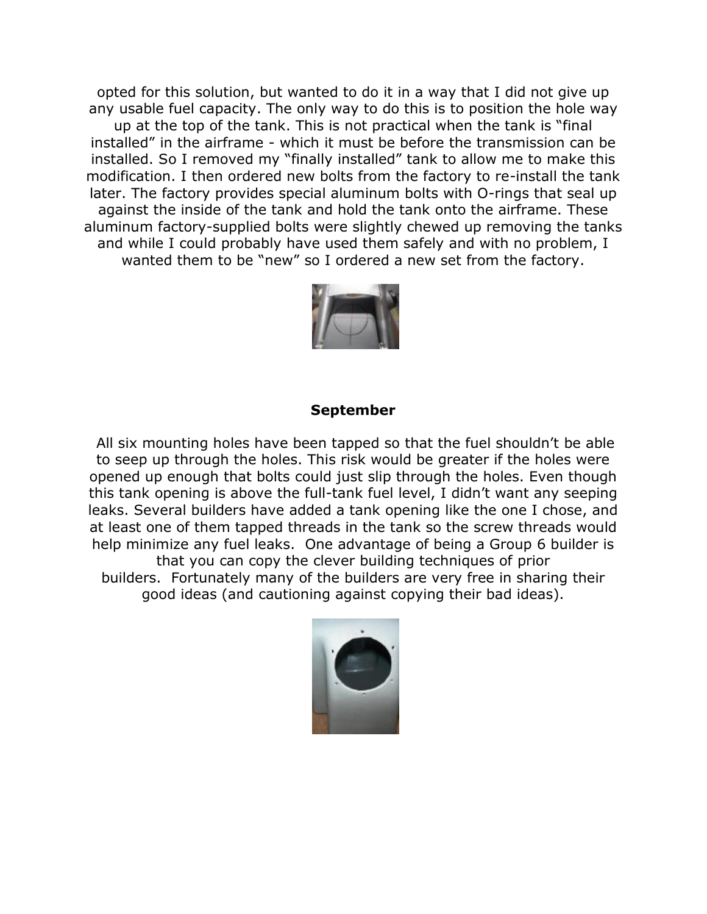opted for this solution, but wanted to do it in a way that I did not give up any usable fuel capacity. The only way to do this is to position the hole way up at the top of the tank. This is not practical when the tank is "final installed" in the airframe - which it must be before the transmission can be installed. So I removed my "finally installed" tank to allow me to make this modification. I then ordered new bolts from the factory to re-install the tank later. The factory provides special aluminum bolts with O-rings that seal up against the inside of the tank and hold the tank onto the airframe. These aluminum factory-supplied bolts were slightly chewed up removing the tanks and while I could probably have used them safely and with no problem, I wanted them to be "new" so I ordered a new set from the factory.



#### **September**

All six mounting holes have been tapped so that the fuel shouldn't be able to seep up through the holes. This risk would be greater if the holes were opened up enough that bolts could just slip through the holes. Even though this tank opening is above the full-tank fuel level, I didn't want any seeping leaks. Several builders have added a tank opening like the one I chose, and at least one of them tapped threads in the tank so the screw threads would help minimize any fuel leaks. One advantage of being a Group 6 builder is that you can copy the clever building techniques of prior builders. Fortunately many of the builders are very free in sharing their good ideas (and cautioning against copying their bad ideas).

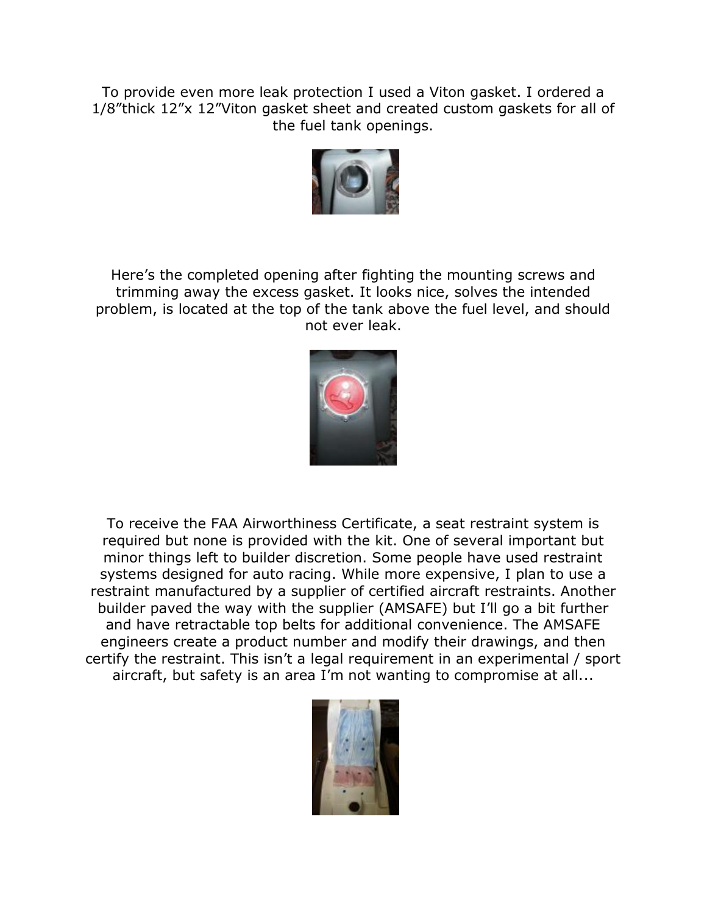To provide even more leak protection I used a Viton gasket. I ordered a 1/8"thick 12"x 12"Viton gasket sheet and created custom gaskets for all of the fuel tank openings.



Here's the completed opening after fighting the mounting screws and trimming away the excess gasket. It looks nice, solves the intended problem, is located at the top of the tank above the fuel level, and should not ever leak.



To receive the FAA Airworthiness Certificate, a seat restraint system is required but none is provided with the kit. One of several important but minor things left to builder discretion. Some people have used restraint systems designed for auto racing. While more expensive, I plan to use a restraint manufactured by a supplier of certified aircraft restraints. Another builder paved the way with the supplier (AMSAFE) but I'll go a bit further and have retractable top belts for additional convenience. The AMSAFE engineers create a product number and modify their drawings, and then certify the restraint. This isn't a legal requirement in an experimental / sport aircraft, but safety is an area I'm not wanting to compromise at all...

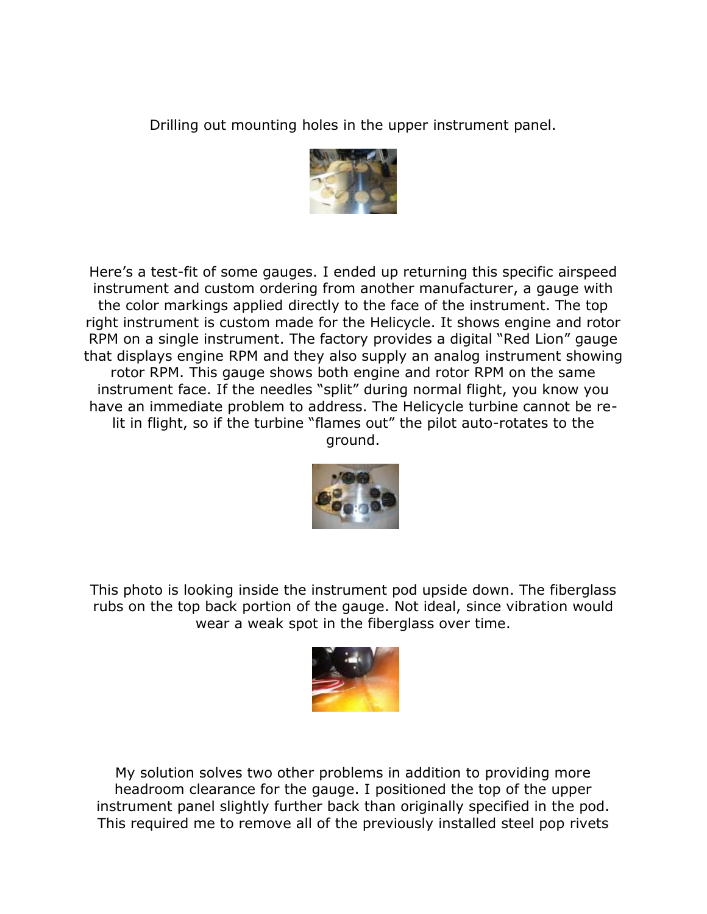Drilling out mounting holes in the upper instrument panel.



Here's a test-fit of some gauges. I ended up returning this specific airspeed instrument and custom ordering from another manufacturer, a gauge with the color markings applied directly to the face of the instrument. The top right instrument is custom made for the Helicycle. It shows engine and rotor RPM on a single instrument. The factory provides a digital "Red Lion" gauge that displays engine RPM and they also supply an analog instrument showing rotor RPM. This gauge shows both engine and rotor RPM on the same instrument face. If the needles "split" during normal flight, you know you have an immediate problem to address. The Helicycle turbine cannot be relit in flight, so if the turbine "flames out" the pilot auto-rotates to the ground.



This photo is looking inside the instrument pod upside down. The fiberglass rubs on the top back portion of the gauge. Not ideal, since vibration would wear a weak spot in the fiberglass over time.



My solution solves two other problems in addition to providing more headroom clearance for the gauge. I positioned the top of the upper instrument panel slightly further back than originally specified in the pod. This required me to remove all of the previously installed steel pop rivets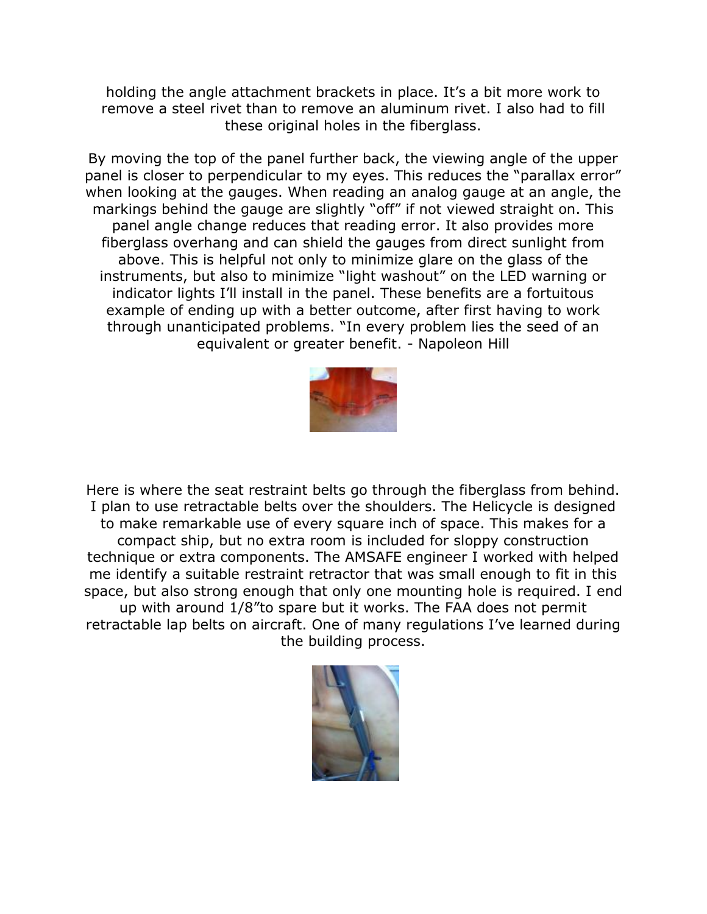holding the angle attachment brackets in place. It's a bit more work to remove a steel rivet than to remove an aluminum rivet. I also had to fill these original holes in the fiberglass.

By moving the top of the panel further back, the viewing angle of the upper panel is closer to perpendicular to my eyes. This reduces the "parallax error" when looking at the gauges. When reading an analog gauge at an angle, the markings behind the gauge are slightly "off" if not viewed straight on. This panel angle change reduces that reading error. It also provides more fiberglass overhang and can shield the gauges from direct sunlight from above. This is helpful not only to minimize glare on the glass of the instruments, but also to minimize "light washout" on the LED warning or indicator lights I'll install in the panel. These benefits are a fortuitous example of ending up with a better outcome, after first having to work through unanticipated problems. "In every problem lies the seed of an equivalent or greater benefit. - Napoleon Hill



Here is where the seat restraint belts go through the fiberglass from behind. I plan to use retractable belts over the shoulders. The Helicycle is designed to make remarkable use of every square inch of space. This makes for a compact ship, but no extra room is included for sloppy construction technique or extra components. The AMSAFE engineer I worked with helped me identify a suitable restraint retractor that was small enough to fit in this space, but also strong enough that only one mounting hole is required. I end up with around 1/8"to spare but it works. The FAA does not permit retractable lap belts on aircraft. One of many regulations I've learned during the building process.

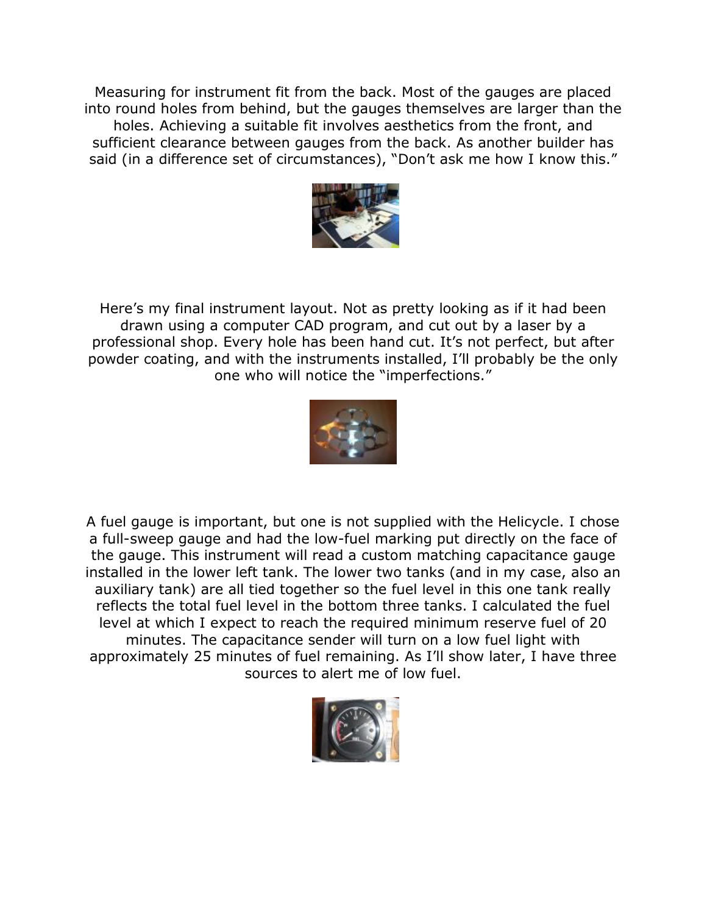Measuring for instrument fit from the back. Most of the gauges are placed into round holes from behind, but the gauges themselves are larger than the holes. Achieving a suitable fit involves aesthetics from the front, and sufficient clearance between gauges from the back. As another builder has said (in a difference set of circumstances), "Don't ask me how I know this."



Here's my final instrument layout. Not as pretty looking as if it had been drawn using a computer CAD program, and cut out by a laser by a professional shop. Every hole has been hand cut. It's not perfect, but after powder coating, and with the instruments installed, I'll probably be the only one who will notice the "imperfections."



A fuel gauge is important, but one is not supplied with the Helicycle. I chose a full-sweep gauge and had the low-fuel marking put directly on the face of the gauge. This instrument will read a custom matching capacitance gauge installed in the lower left tank. The lower two tanks (and in my case, also an auxiliary tank) are all tied together so the fuel level in this one tank really reflects the total fuel level in the bottom three tanks. I calculated the fuel level at which I expect to reach the required minimum reserve fuel of 20 minutes. The capacitance sender will turn on a low fuel light with approximately 25 minutes of fuel remaining. As I'll show later, I have three sources to alert me of low fuel.

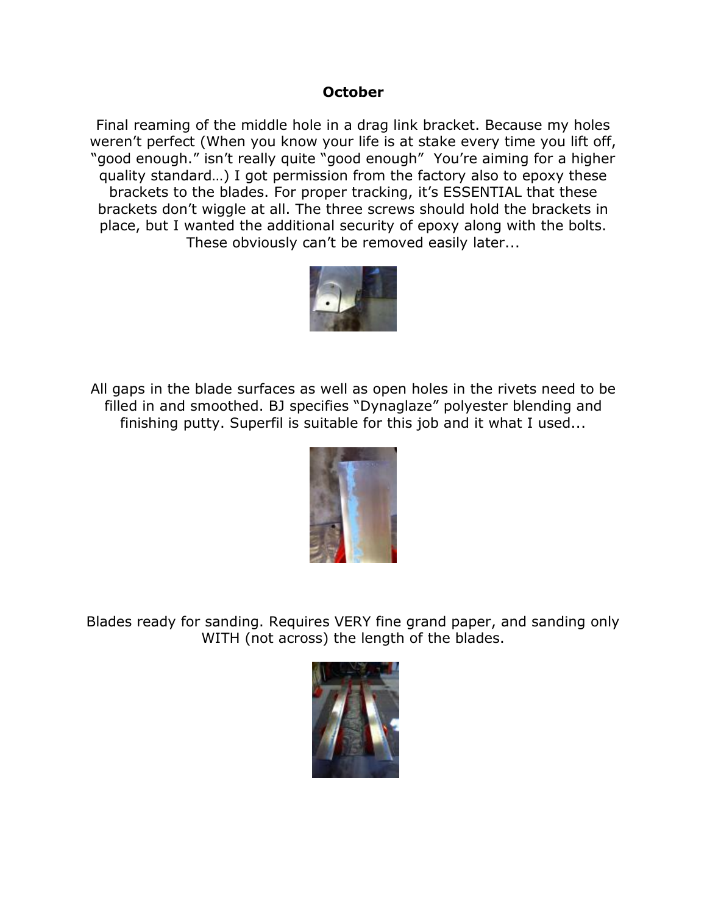## **October**

Final reaming of the middle hole in a drag link bracket. Because my holes weren't perfect (When you know your life is at stake every time you lift off, "good enough." isn't really quite "good enough" You're aiming for a higher quality standard…) I got permission from the factory also to epoxy these brackets to the blades. For proper tracking, it's ESSENTIAL that these brackets don't wiggle at all. The three screws should hold the brackets in place, but I wanted the additional security of epoxy along with the bolts. These obviously can't be removed easily later...



All gaps in the blade surfaces as well as open holes in the rivets need to be filled in and smoothed. BJ specifies "Dynaglaze" polyester blending and finishing putty. Superfil is suitable for this job and it what I used...



Blades ready for sanding. Requires VERY fine grand paper, and sanding only WITH (not across) the length of the blades.

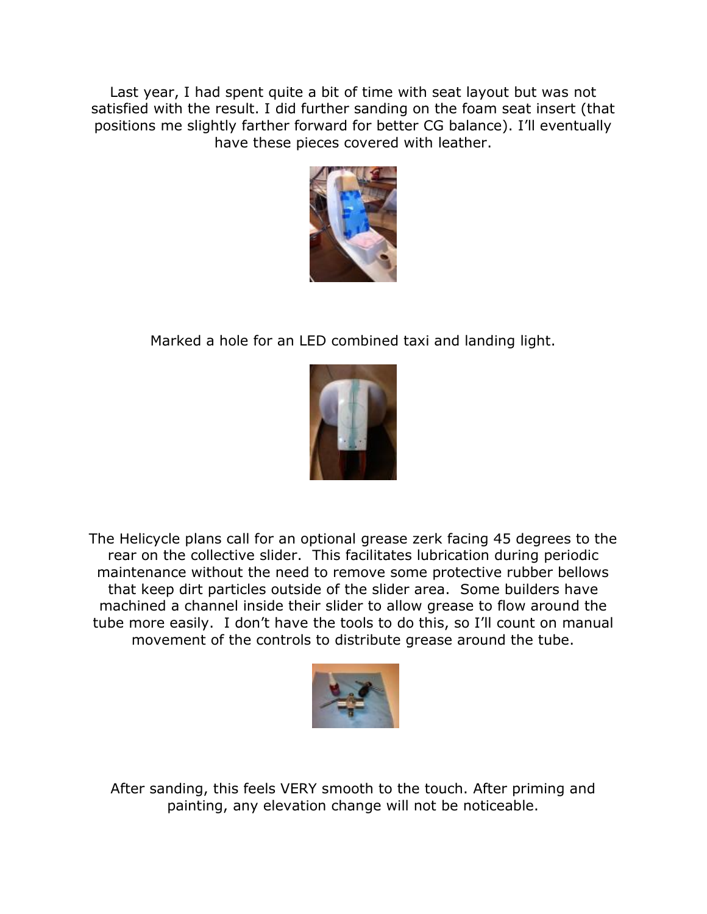Last year, I had spent quite a bit of time with seat layout but was not satisfied with the result. I did further sanding on the foam seat insert (that positions me slightly farther forward for better CG balance). I'll eventually have these pieces covered with leather.



Marked a hole for an LED combined taxi and landing light.



The Helicycle plans call for an optional grease zerk facing 45 degrees to the rear on the collective slider. This facilitates lubrication during periodic maintenance without the need to remove some protective rubber bellows that keep dirt particles outside of the slider area. Some builders have machined a channel inside their slider to allow grease to flow around the tube more easily. I don't have the tools to do this, so I'll count on manual movement of the controls to distribute grease around the tube.



After sanding, this feels VERY smooth to the touch. After priming and painting, any elevation change will not be noticeable.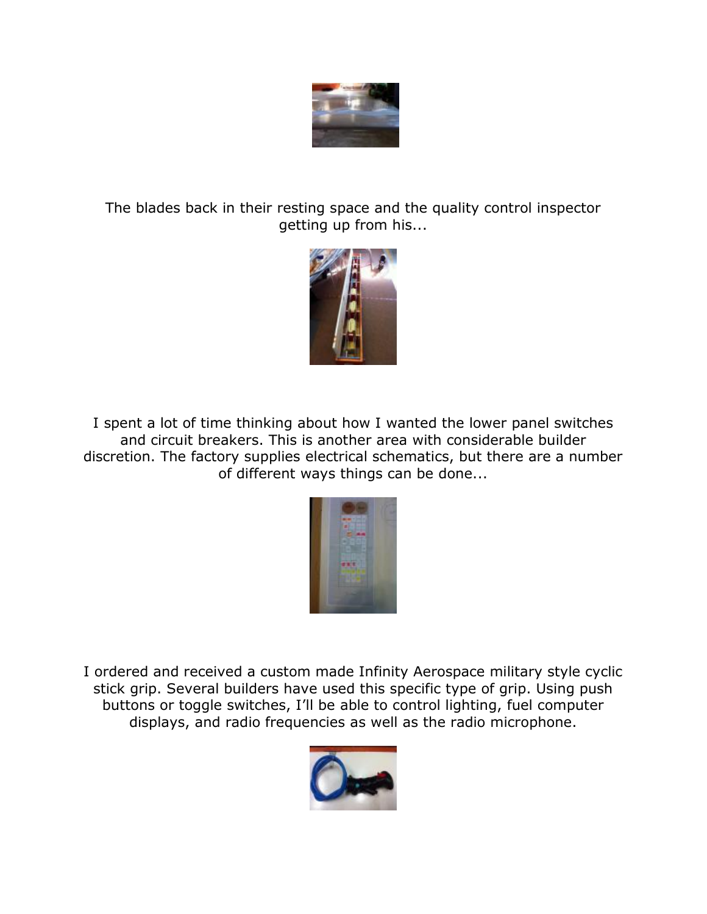

The blades back in their resting space and the quality control inspector getting up from his...



I spent a lot of time thinking about how I wanted the lower panel switches and circuit breakers. This is another area with considerable builder discretion. The factory supplies electrical schematics, but there are a number of different ways things can be done...



I ordered and received a custom made Infinity Aerospace military style cyclic stick grip. Several builders have used this specific type of grip. Using push buttons or toggle switches, I'll be able to control lighting, fuel computer displays, and radio frequencies as well as the radio microphone.

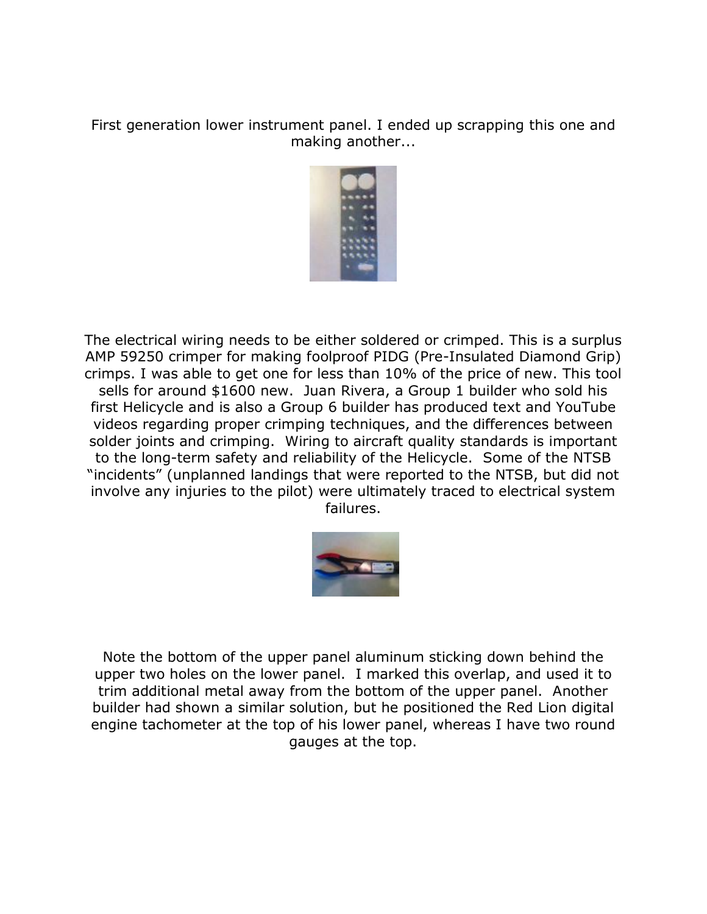First generation lower instrument panel. I ended up scrapping this one and making another...



The electrical wiring needs to be either soldered or crimped. This is a surplus AMP 59250 crimper for making foolproof PIDG (Pre-Insulated Diamond Grip) crimps. I was able to get one for less than 10% of the price of new. This tool sells for around \$1600 new. Juan Rivera, a Group 1 builder who sold his first Helicycle and is also a Group 6 builder has produced text and YouTube videos regarding proper crimping techniques, and the differences between solder joints and crimping. Wiring to aircraft quality standards is important to the long-term safety and reliability of the Helicycle. Some of the NTSB "incidents" (unplanned landings that were reported to the NTSB, but did not involve any injuries to the pilot) were ultimately traced to electrical system failures.



Note the bottom of the upper panel aluminum sticking down behind the upper two holes on the lower panel. I marked this overlap, and used it to trim additional metal away from the bottom of the upper panel. Another builder had shown a similar solution, but he positioned the Red Lion digital engine tachometer at the top of his lower panel, whereas I have two round gauges at the top.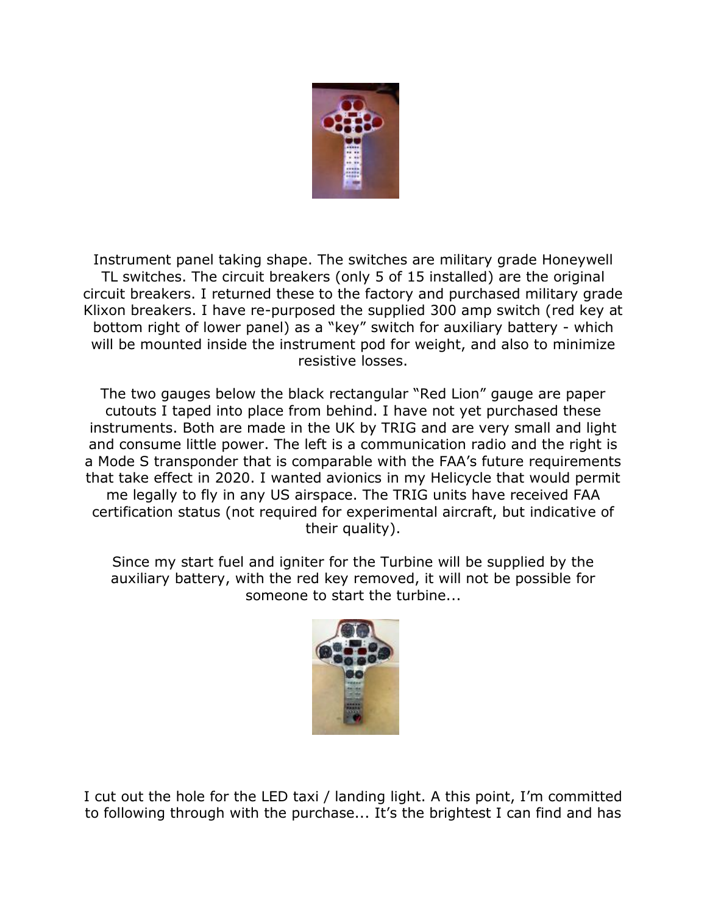

Instrument panel taking shape. The switches are military grade Honeywell TL switches. The circuit breakers (only 5 of 15 installed) are the original circuit breakers. I returned these to the factory and purchased military grade Klixon breakers. I have re-purposed the supplied 300 amp switch (red key at bottom right of lower panel) as a "key" switch for auxiliary battery - which will be mounted inside the instrument pod for weight, and also to minimize resistive losses.

The two gauges below the black rectangular "Red Lion" gauge are paper cutouts I taped into place from behind. I have not yet purchased these instruments. Both are made in the UK by TRIG and are very small and light and consume little power. The left is a communication radio and the right is a Mode S transponder that is comparable with the FAA's future requirements that take effect in 2020. I wanted avionics in my Helicycle that would permit me legally to fly in any US airspace. The TRIG units have received FAA certification status (not required for experimental aircraft, but indicative of their quality).

Since my start fuel and igniter for the Turbine will be supplied by the auxiliary battery, with the red key removed, it will not be possible for someone to start the turbine...



I cut out the hole for the LED taxi / landing light. A this point, I'm committed to following through with the purchase... It's the brightest I can find and has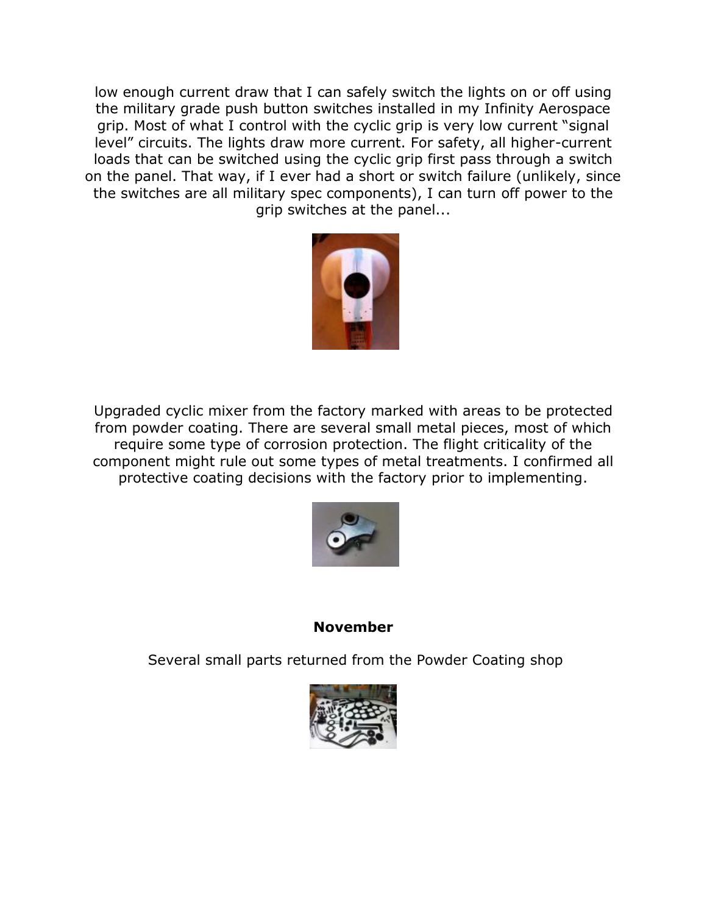low enough current draw that I can safely switch the lights on or off using the military grade push button switches installed in my Infinity Aerospace grip. Most of what I control with the cyclic grip is very low current "signal level" circuits. The lights draw more current. For safety, all higher-current loads that can be switched using the cyclic grip first pass through a switch on the panel. That way, if I ever had a short or switch failure (unlikely, since the switches are all military spec components), I can turn off power to the grip switches at the panel...



Upgraded cyclic mixer from the factory marked with areas to be protected from powder coating. There are several small metal pieces, most of which require some type of corrosion protection. The flight criticality of the component might rule out some types of metal treatments. I confirmed all protective coating decisions with the factory prior to implementing.



## **November**

Several small parts returned from the Powder Coating shop

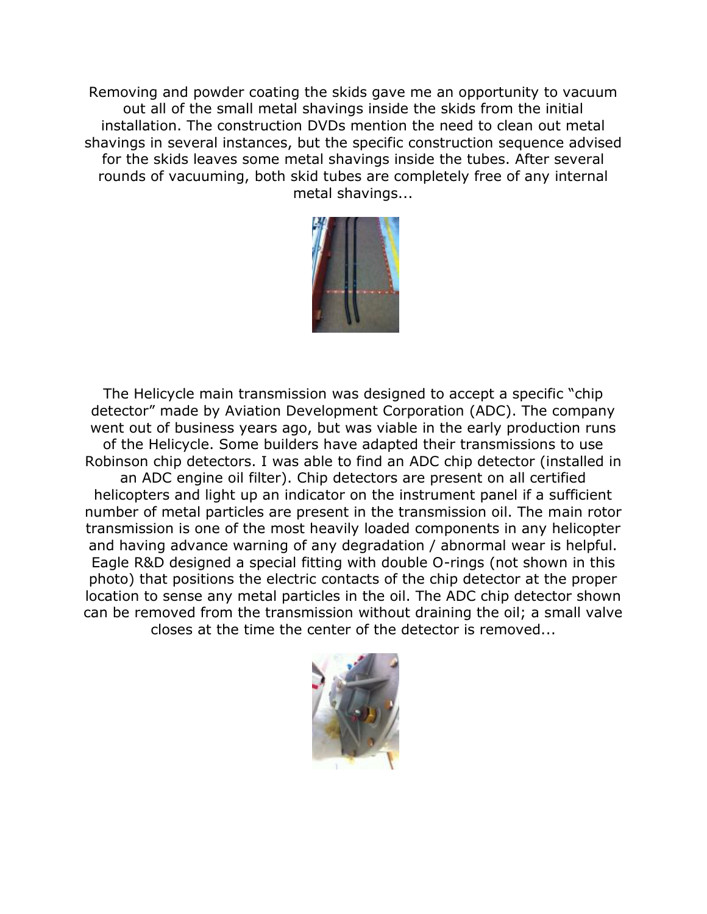Removing and powder coating the skids gave me an opportunity to vacuum out all of the small metal shavings inside the skids from the initial installation. The construction DVDs mention the need to clean out metal shavings in several instances, but the specific construction sequence advised for the skids leaves some metal shavings inside the tubes. After several rounds of vacuuming, both skid tubes are completely free of any internal metal shavings...



The Helicycle main transmission was designed to accept a specific "chip detector" made by Aviation Development Corporation (ADC). The company went out of business years ago, but was viable in the early production runs of the Helicycle. Some builders have adapted their transmissions to use Robinson chip detectors. I was able to find an ADC chip detector (installed in an ADC engine oil filter). Chip detectors are present on all certified helicopters and light up an indicator on the instrument panel if a sufficient number of metal particles are present in the transmission oil. The main rotor transmission is one of the most heavily loaded components in any helicopter and having advance warning of any degradation / abnormal wear is helpful. Eagle R&D designed a special fitting with double O-rings (not shown in this photo) that positions the electric contacts of the chip detector at the proper location to sense any metal particles in the oil. The ADC chip detector shown can be removed from the transmission without draining the oil; a small valve closes at the time the center of the detector is removed...

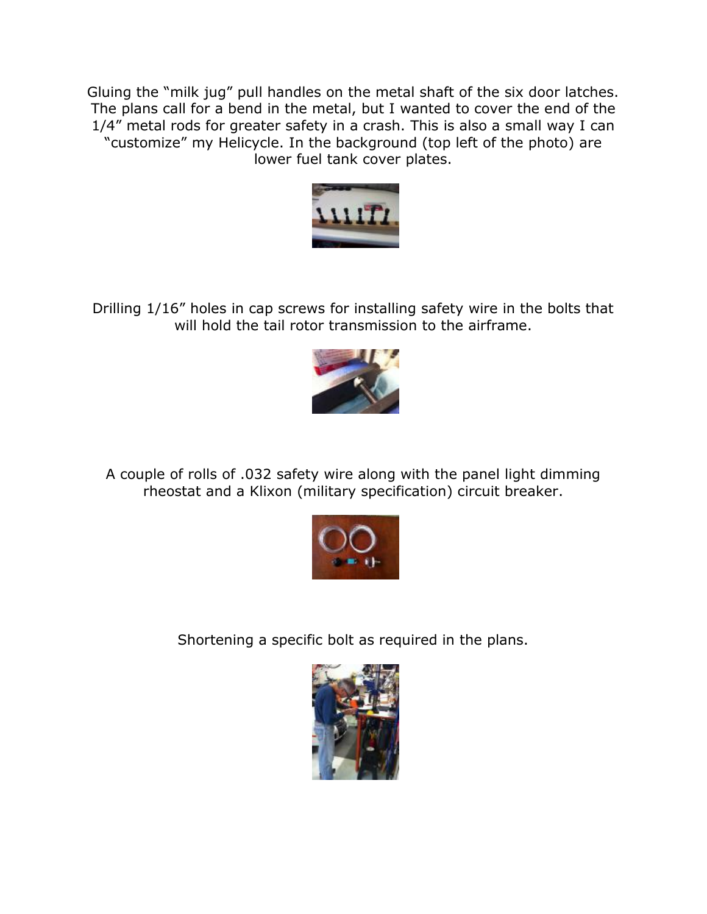Gluing the "milk jug" pull handles on the metal shaft of the six door latches. The plans call for a bend in the metal, but I wanted to cover the end of the 1/4" metal rods for greater safety in a crash. This is also a small way I can "customize" my Helicycle. In the background (top left of the photo) are lower fuel tank cover plates.



Drilling 1/16" holes in cap screws for installing safety wire in the bolts that will hold the tail rotor transmission to the airframe.



A couple of rolls of .032 safety wire along with the panel light dimming rheostat and a Klixon (military specification) circuit breaker.



Shortening a specific bolt as required in the plans.

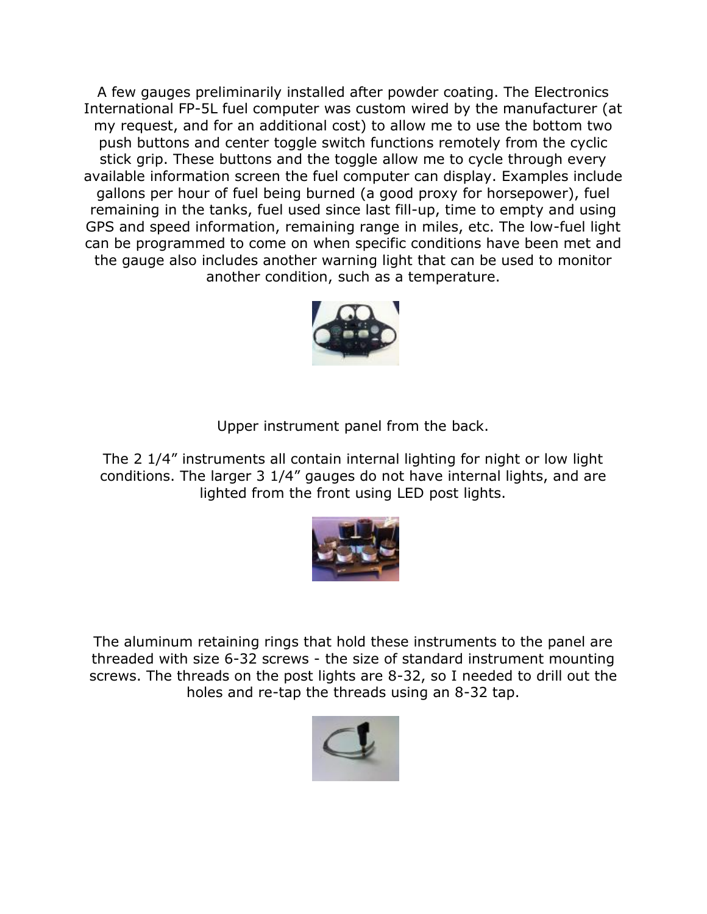A few gauges preliminarily installed after powder coating. The Electronics International FP-5L fuel computer was custom wired by the manufacturer (at my request, and for an additional cost) to allow me to use the bottom two push buttons and center toggle switch functions remotely from the cyclic stick grip. These buttons and the toggle allow me to cycle through every available information screen the fuel computer can display. Examples include gallons per hour of fuel being burned (a good proxy for horsepower), fuel remaining in the tanks, fuel used since last fill-up, time to empty and using GPS and speed information, remaining range in miles, etc. The low-fuel light can be programmed to come on when specific conditions have been met and the gauge also includes another warning light that can be used to monitor another condition, such as a temperature.



Upper instrument panel from the back.

The 2 1/4" instruments all contain internal lighting for night or low light conditions. The larger 3 1/4" gauges do not have internal lights, and are lighted from the front using LED post lights.



The aluminum retaining rings that hold these instruments to the panel are threaded with size 6-32 screws - the size of standard instrument mounting screws. The threads on the post lights are 8-32, so I needed to drill out the holes and re-tap the threads using an 8-32 tap.

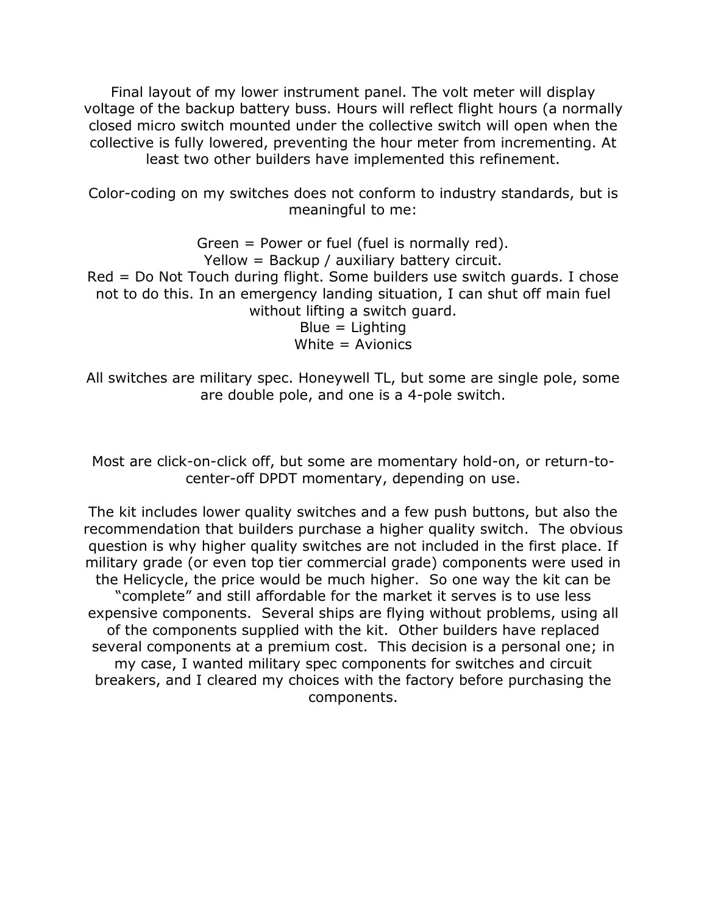Final layout of my lower instrument panel. The volt meter will display voltage of the backup battery buss. Hours will reflect flight hours (a normally closed micro switch mounted under the collective switch will open when the collective is fully lowered, preventing the hour meter from incrementing. At least two other builders have implemented this refinement.

Color-coding on my switches does not conform to industry standards, but is meaningful to me:

Green = Power or fuel (fuel is normally red). Yellow = Backup / auxiliary battery circuit. Red = Do Not Touch during flight. Some builders use switch guards. I chose not to do this. In an emergency landing situation, I can shut off main fuel without lifting a switch guard.  $Blue = Lighting$ White  $=$  Avionics

All switches are military spec. Honeywell TL, but some are single pole, some are double pole, and one is a 4-pole switch.

Most are click-on-click off, but some are momentary hold-on, or return-tocenter-off DPDT momentary, depending on use.

The kit includes lower quality switches and a few push buttons, but also the recommendation that builders purchase a higher quality switch. The obvious question is why higher quality switches are not included in the first place. If military grade (or even top tier commercial grade) components were used in the Helicycle, the price would be much higher. So one way the kit can be "complete" and still affordable for the market it serves is to use less expensive components. Several ships are flying without problems, using all of the components supplied with the kit. Other builders have replaced several components at a premium cost. This decision is a personal one; in my case, I wanted military spec components for switches and circuit breakers, and I cleared my choices with the factory before purchasing the components.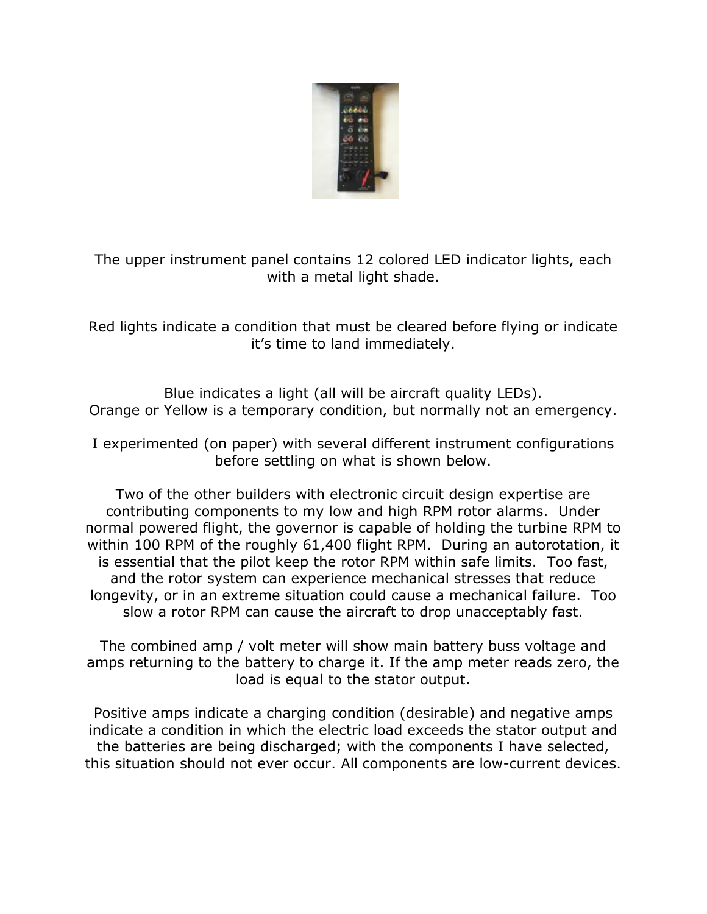

The upper instrument panel contains 12 colored LED indicator lights, each with a metal light shade.

Red lights indicate a condition that must be cleared before flying or indicate it's time to land immediately.

Blue indicates a light (all will be aircraft quality LEDs). Orange or Yellow is a temporary condition, but normally not an emergency.

I experimented (on paper) with several different instrument configurations before settling on what is shown below.

Two of the other builders with electronic circuit design expertise are contributing components to my low and high RPM rotor alarms. Under normal powered flight, the governor is capable of holding the turbine RPM to within 100 RPM of the roughly 61,400 flight RPM. During an autorotation, it is essential that the pilot keep the rotor RPM within safe limits. Too fast, and the rotor system can experience mechanical stresses that reduce longevity, or in an extreme situation could cause a mechanical failure. Too slow a rotor RPM can cause the aircraft to drop unacceptably fast.

The combined amp / volt meter will show main battery buss voltage and amps returning to the battery to charge it. If the amp meter reads zero, the load is equal to the stator output.

Positive amps indicate a charging condition (desirable) and negative amps indicate a condition in which the electric load exceeds the stator output and the batteries are being discharged; with the components I have selected, this situation should not ever occur. All components are low-current devices.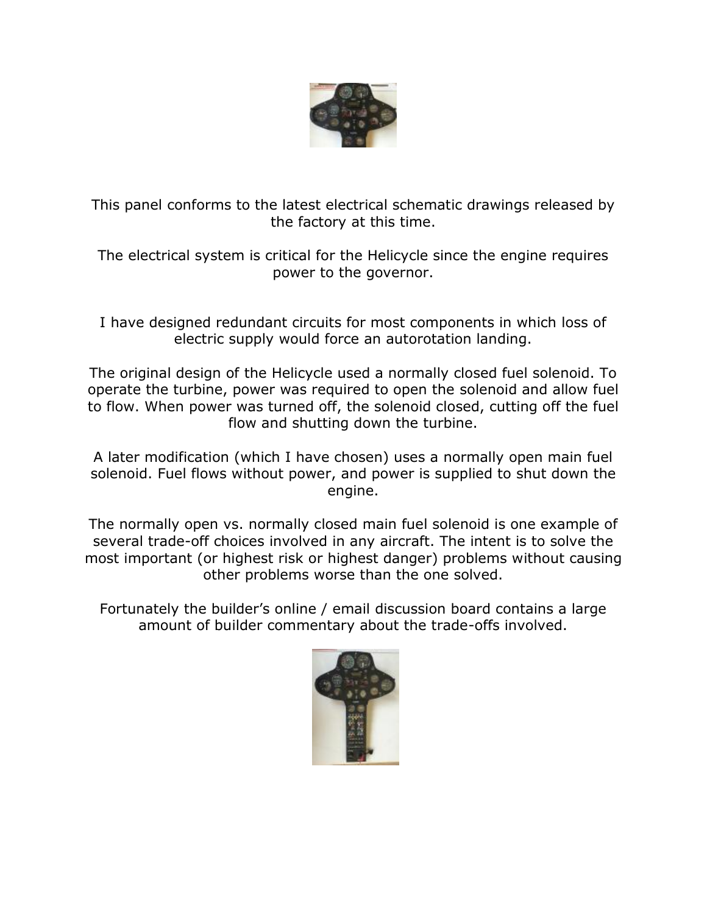

This panel conforms to the latest electrical schematic drawings released by the factory at this time.

The electrical system is critical for the Helicycle since the engine requires power to the governor.

I have designed redundant circuits for most components in which loss of electric supply would force an autorotation landing.

The original design of the Helicycle used a normally closed fuel solenoid. To operate the turbine, power was required to open the solenoid and allow fuel to flow. When power was turned off, the solenoid closed, cutting off the fuel flow and shutting down the turbine.

A later modification (which I have chosen) uses a normally open main fuel solenoid. Fuel flows without power, and power is supplied to shut down the engine.

The normally open vs. normally closed main fuel solenoid is one example of several trade-off choices involved in any aircraft. The intent is to solve the most important (or highest risk or highest danger) problems without causing other problems worse than the one solved.

Fortunately the builder's online / email discussion board contains a large amount of builder commentary about the trade-offs involved.

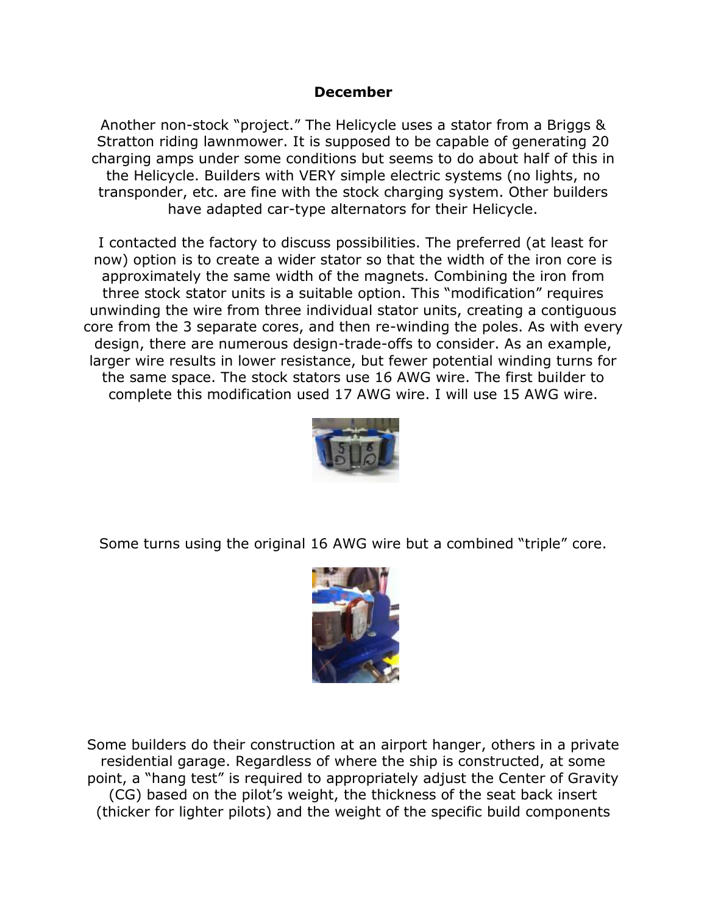### **December**

Another non-stock "project." The Helicycle uses a stator from a Briggs & Stratton riding lawnmower. It is supposed to be capable of generating 20 charging amps under some conditions but seems to do about half of this in the Helicycle. Builders with VERY simple electric systems (no lights, no transponder, etc. are fine with the stock charging system. Other builders have adapted car-type alternators for their Helicycle.

I contacted the factory to discuss possibilities. The preferred (at least for now) option is to create a wider stator so that the width of the iron core is approximately the same width of the magnets. Combining the iron from three stock stator units is a suitable option. This "modification" requires unwinding the wire from three individual stator units, creating a contiguous core from the 3 separate cores, and then re-winding the poles. As with every design, there are numerous design-trade-offs to consider. As an example, larger wire results in lower resistance, but fewer potential winding turns for the same space. The stock stators use 16 AWG wire. The first builder to complete this modification used 17 AWG wire. I will use 15 AWG wire.



Some turns using the original 16 AWG wire but a combined "triple" core.



Some builders do their construction at an airport hanger, others in a private residential garage. Regardless of where the ship is constructed, at some point, a "hang test" is required to appropriately adjust the Center of Gravity (CG) based on the pilot's weight, the thickness of the seat back insert (thicker for lighter pilots) and the weight of the specific build components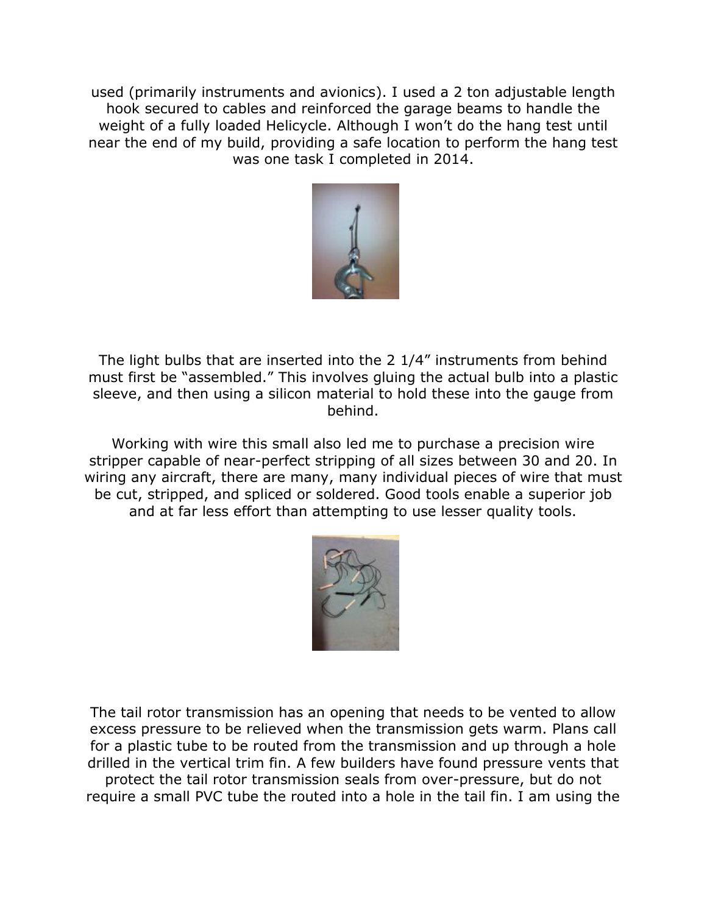used (primarily instruments and avionics). I used a 2 ton adjustable length hook secured to cables and reinforced the garage beams to handle the weight of a fully loaded Helicycle. Although I won't do the hang test until near the end of my build, providing a safe location to perform the hang test was one task I completed in 2014.



The light bulbs that are inserted into the 2 1/4" instruments from behind must first be "assembled." This involves gluing the actual bulb into a plastic sleeve, and then using a silicon material to hold these into the gauge from behind.

Working with wire this small also led me to purchase a precision wire stripper capable of near-perfect stripping of all sizes between 30 and 20. In wiring any aircraft, there are many, many individual pieces of wire that must be cut, stripped, and spliced or soldered. Good tools enable a superior job and at far less effort than attempting to use lesser quality tools.



The tail rotor transmission has an opening that needs to be vented to allow excess pressure to be relieved when the transmission gets warm. Plans call for a plastic tube to be routed from the transmission and up through a hole drilled in the vertical trim fin. A few builders have found pressure vents that protect the tail rotor transmission seals from over-pressure, but do not require a small PVC tube the routed into a hole in the tail fin. I am using the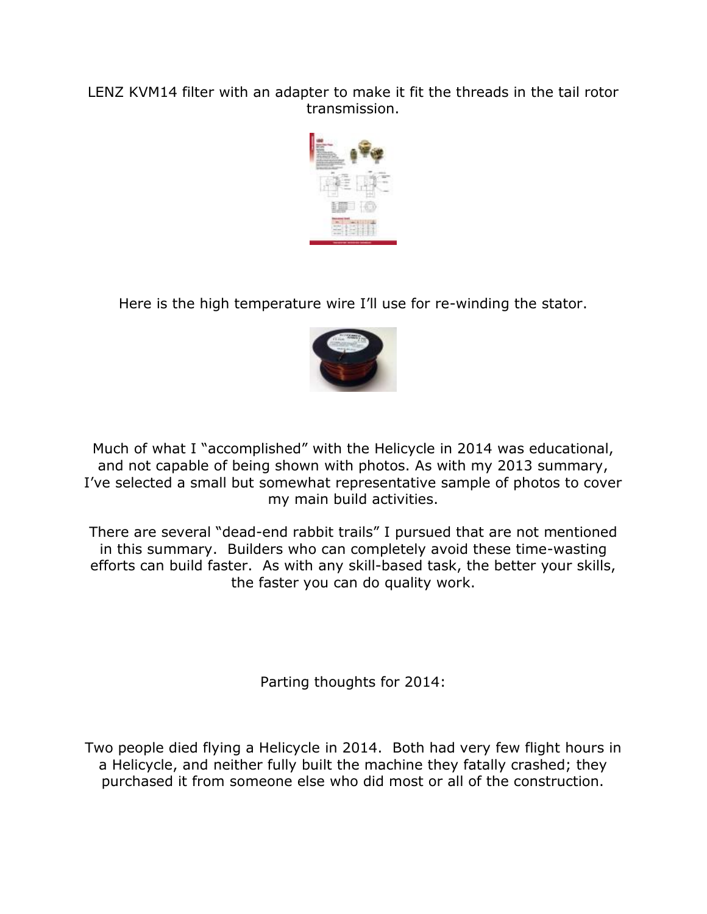LENZ KVM14 filter with an adapter to make it fit the threads in the tail rotor transmission.



Here is the high temperature wire I'll use for re-winding the stator.



Much of what I "accomplished" with the Helicycle in 2014 was educational, and not capable of being shown with photos. As with my 2013 summary, I've selected a small but somewhat representative sample of photos to cover my main build activities.

There are several "dead-end rabbit trails" I pursued that are not mentioned in this summary. Builders who can completely avoid these time-wasting efforts can build faster. As with any skill-based task, the better your skills, the faster you can do quality work.

Parting thoughts for 2014:

Two people died flying a Helicycle in 2014. Both had very few flight hours in a Helicycle, and neither fully built the machine they fatally crashed; they purchased it from someone else who did most or all of the construction.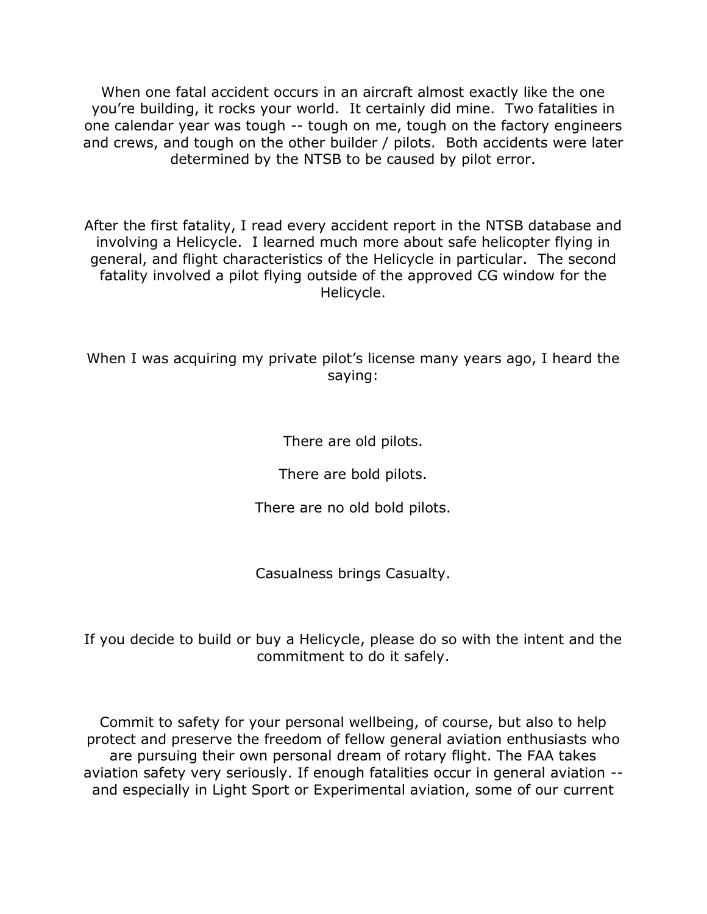When one fatal accident occurs in an aircraft almost exactly like the one you're building, it rocks your world. It certainly did mine. Two fatalities in one calendar year was tough -- tough on me, tough on the factory engineers and crews, and tough on the other builder / pilots. Both accidents were later determined by the NTSB to be caused by pilot error.

After the first fatality, I read every accident report in the NTSB database and involving a Helicycle. I learned much more about safe helicopter flying in general, and flight characteristics of the Helicycle in particular. The second fatality involved a pilot flying outside of the approved CG window for the Helicycle.

When I was acquiring my private pilot's license many years ago, I heard the saying:

There are old pilots.

There are bold pilots.

There are no old bold pilots.

Casualness brings Casualty.

If you decide to build or buy a Helicycle, please do so with the intent and the commitment to do it safely.

Commit to safety for your personal wellbeing, of course, but also to help protect and preserve the freedom of fellow general aviation enthusiasts who are pursuing their own personal dream of rotary flight. The FAA takes aviation safety very seriously. If enough fatalities occur in general aviation - and especially in Light Sport or Experimental aviation, some of our current